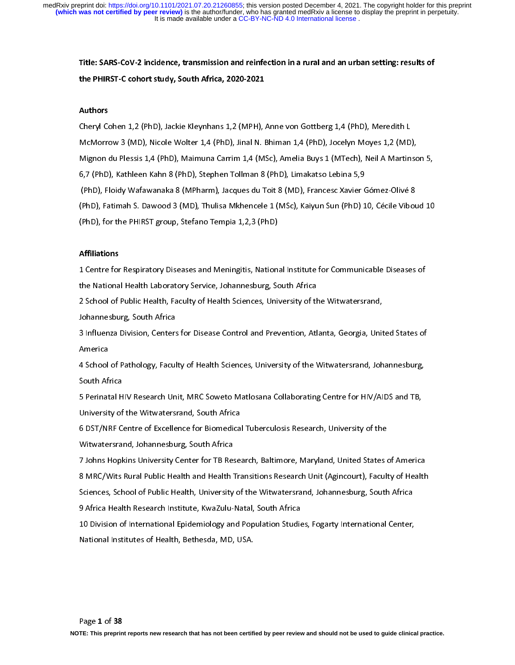Title: SARS-CoV-2 incidence, transmission and reinfection in a rural and an urban setting: results of the PHIRST-C cohort study, South Africa, 2020-2021

# Authors

Cheryl Cohen 1,2 (PhD), Jackie Kleynhans 1,2 (MPH), Anne von Gottberg 1,4 (PhD), Meredith L McMorrow 3 (MD), Nicole Wolter 1,4 (PhD), Jinal N. Bhiman 1,4 (PhD), Jocelyn Moyes 1,2 (MD), Mignon du Plessis 1,4 (PhD), Maimuna Carrim 1,4 (MSc), Amelia Buys 1 (MTech), Neil A Martinson 5, 6,7 (PhD), Kathleen Kahn 8 (PhD), Stephen Tollman 8 (PhD), Limakatso Lebina 5,9 (PhD), Floidy Wafawanaka 8 (MPharm), Jacques du Toit 8 (MD), Francesc Xavier Gómez-Olivé 8 (PhD), Fatimah S. Dawood 3 (MD), Thulisa Mkhencele 1 (MSc), Kaiyun Sun (PhD) 10, Cécile Viboud 10 (PhD), for the PHIRST group, Stefano Tempia 1,2,3 (PhD)

# Affiliations

1 Centre for Respiratory Diseases and Meningitis, National Institute for Communicable Diseases of the National Health Laboratory Service, Johannesburg, South Africa

2 School of Public Health, Faculty of Health Sciences, University of the Witwatersrand,

Johannesburg, South Africa

3 Influenza Division, Centers for Disease Control and Prevention, Atlanta, Georgia, United States of America

4 School of Pathology, Faculty of Health Sciences, University of the Witwatersrand, Johannesburg, South Africa

5 Perinatal HIV Research Unit, MRC Soweto Matlosana Collaborating Centre for HIV/AIDS and TB, University of the Witwatersrand, South Africa

6 DST/NRF Centre of Excellence for Biomedical Tuberculosis Research, University of the Witwatersrand, Johannesburg, South Africa

7 Johns Hopkins University Center for TB Research, Baltimore, Maryland, United States of America 8 MRC/Wits Rural Public Health and Health Transitions Research Unit (Agincourt), Faculty of Health Sciences, School of Public Health, University of the Witwatersrand, Johannesburg, South Africa 9 Africa Health Research Institute, KwaZulu-Natal, South Africa

10 Division of International Epidemiology and Population Studies, Fogarty International Center, National Institutes of Health, Bethesda, MD, USA.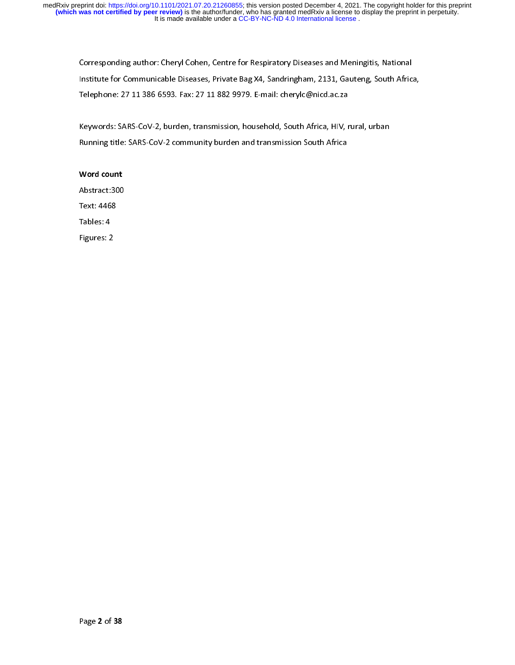Corresponding author: Cheryl Cohen, Centre for Respiratory Diseases and Meningitis, National Institute for Communicable Diseases, Private Bag X4, Sandringham, 2131, Gauteng, South Africa, Telephone: 27 11 386 6593. Fax: 27 11 882 9979. E-mail: cherylc@nicd.ac.za

Keywords: SARS-CoV-2, burden, transmission, household, South Africa, HIV, rural, urban Running title: SARS-CoV-2 community burden and transmission South Africa

# Word count

Abstract:300 Text: 4468 Tables: 4

Figures: 2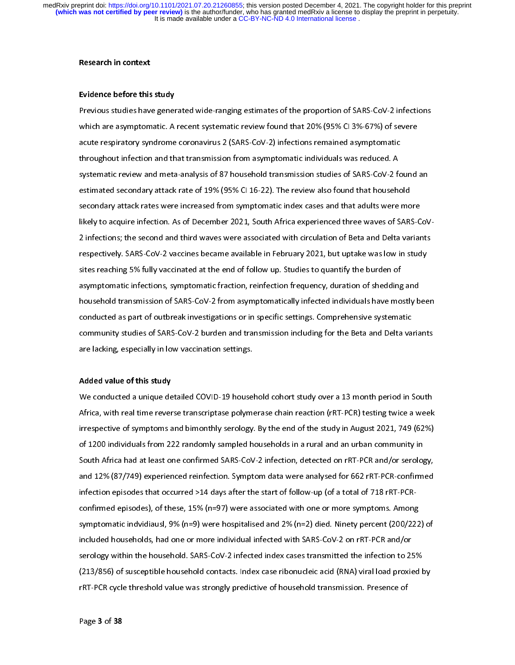#### Research in context

## Evidence before this study

Previous studies have generated wide-ranging estimates of the proportion of SARS-CoV-2 infections which are asymptomatic. A recent systematic review found that 20% (95% CI 3%-67%) of severe acute respiratory syndrome coronavirus 2 (SARS-CoV-2) infections remained asymptomatic throughout infection and that transmission from asymptomatic individuals was reduced. A systematic review and meta-analysis of 87 household transmission studies of SARS-CoV-2 found an estimated secondary attack rate of 19% (95% CI 16-22). The review also found that household secondary attack rates were increased from symptomatic index cases and that adults were more likely to acquire infection. As of December 2021, South Africa experienced three waves of SARS-CoV-2 infections; the second and third waves were associated with circulation of Beta and Delta variants respectively. SARS-CoV-2 vaccines became available in February 2021, but uptake was low in study sites reaching 5% fully vaccinated at the end of follow up. Studies to quantify the burden of asymptomatic infections, symptomatic fraction, reinfection frequency, duration of shedding and household transmission of SARS-CoV-2 from asymptomatically infected individuals have mostly been conducted as part of outbreak investigations or in specific settings. Comprehensive systematic community studies of SARS-CoV-2 burden and transmission including for the Beta and Delta variants are lacking, especially in low vaccination settings.

#### Added value of this study

We conducted a unique detailed COVID-19 household cohort study over a 13 month period in South Africa, with real time reverse transcriptase polymerase chain reaction (rRT-PCR) testing twice a week irrespective of symptoms and bimonthly serology. By the end of the study in August 2021, 749 (62%) of 1200 individuals from 222 randomly sampled households in a rural and an urban community in South Africa had at least one confirmed SARS-CoV-2 infection, detected on rRT-PCR and/or serology, and 12% (87/749) experienced reinfection. Symptom data were analysed for 662 rRT-PCR-confirmed infection episodes that occurred >14 days after the start of follow-up (of a total of 718 rRT-PCRconfirmed episodes), of these, 15% (n=97) were associated with one or more symptoms. Among symptomatic indvidiausl, 9% (n=9) were hospitalised and 2% (n=2) died. Ninety percent (200/222) of included households, had one or more individual infected with SARS-CoV-2 on rRT-PCR and/or serology within the household. SARS-CoV-2 infected index cases transmitted the infection to 25% (213/856) of susceptible household contacts. Index case ribonucleic acid (RNA) viral load proxied by rRT-PCR cycle threshold value was strongly predictive of household transmission. Presence of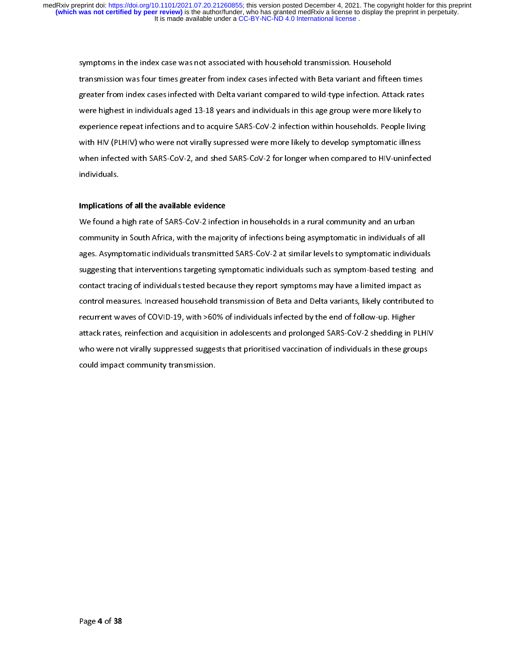symptoms in the index case was not associated with household transmission. Household transmission was four times greater from index cases infected with Beta variant and fifteen times greater from index cases infected with Delta variant compared to wild-type infection. Attack rates were highest in individuals aged 13-18 years and individuals in this age group were more likely to experience repeat infections and to acquire SARS-CoV-2 infection within households. People living with HIV (PLHIV) who were not virally supressed were more likely to develop symptomatic illness when infected with SARS-CoV-2, and shed SARS-CoV-2 for longer when compared to HIV-uninfected individuals.

# Implications of all the available evidence

We found a high rate of SARS-CoV-2 infection in households in a rural community and an urban community in South Africa, with the majority of infections being asymptomatic in individuals of all ages. Asymptomatic individuals transmitted SARS-CoV-2 at similar levels to symptomatic individuals suggesting that interventions targeting symptomatic individuals such as symptom-based testing and contact tracing of individuals tested because they report symptoms may have a limited impact as control measures. Increased household transmission of Beta and Delta variants, likely contributed to recurrent waves of COVID-19, with >60% of individuals infected by the end of follow-up. Higher attack rates, reinfection and acquisition in adolescents and prolonged SARS-CoV-2 shedding in PLHIV who were not virally suppressed suggests that prioritised vaccination of individuals in these groups could impact community transmission.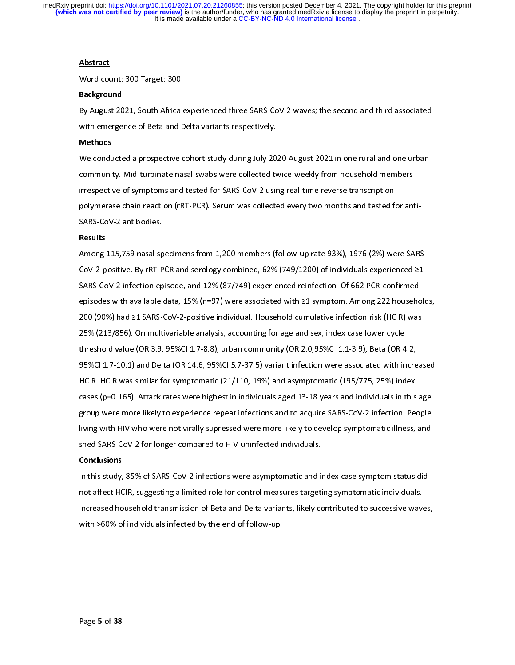## Abstract

Word count: 300 Target: 300

#### Background

By August 2021, South Africa experienced three SARS-CoV-2 waves; the second and third associated with emergence of Beta and Delta variants respectively.

## Methods

We conducted a prospective cohort study during July 2020-August 2021 in one rural and one urban community. Mid-turbinate nasal swabs were collected twice-weekly from household members irrespective of symptoms and tested for SARS-CoV-2 using real-time reverse transcription polymerase chain reaction (rRT-PCR). Serum was collected every two months and tested for anti-SARS-CoV-2 antibodies.

## Results

Among 115,759 nasal specimens from 1,200 members (follow-up rate 93%), 1976 (2%) were SARS-CoV-2-positive. By rRT-PCR and serology combined, 62% (749/1200) of individuals experienced ≥1 SARS-CoV-2 infection episode, and 12% (87/749) experienced reinfection. Of 662 PCR-confirmed episodes with available data, 15% (n=97) were associated with ≥1 symptom. Among 222 households, 200 (90%) had ≥1 SARS-CoV-2-positive individual. Household cumulative infection risk (HCIR) was 25% (213/856). On multivariable analysis, accounting for age and sex, index case lower cycle threshold value (OR 3.9, 95%CI 1.7-8.8), urban community (OR 2.0,95%CI 1.1-3.9), Beta (OR 4.2, 95%CI 1.7-10.1) and Delta (OR 14.6, 95%CI 5.7-37.5) variant infection were associated with increased HCIR. HCIR was similar for symptomatic (21/110, 19%) and asymptomatic (195/775, 25%) index cases (p=0.165). Attack rates were highest in individuals aged 13-18 years and individuals in this age group were more likely to experience repeat infections and to acquire SARS-CoV-2 infection. People living with HIV who were not virally supressed were more likely to develop symptomatic illness, and shed SARS-CoV-2 for longer compared to HIV-uninfected individuals.

#### **Conclusions**

In this study, 85% of SARS-CoV-2 infections were asymptomatic and index case symptom status did not affect HCIR, suggesting a limited role for control measures targeting symptomatic individuals. Increased household transmission of Beta and Delta variants, likely contributed to successive waves, with >60% of individuals infected by the end of follow-up.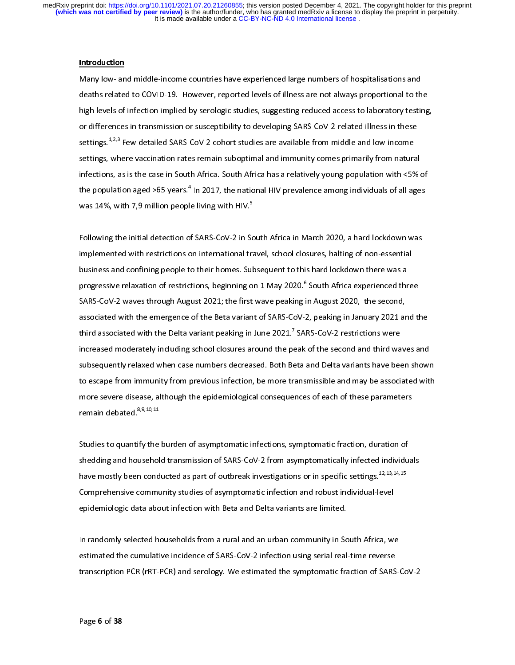## Introduction

Many low- and middle-income countries have experienced large numbers of hospitalisations and deaths related to COVID-19. However, reported levels of illness are not always proportional to the high levels of infection implied by serologic studies, suggesting reduced access to laboratory testing, or differences in transmission or susceptibility to developing SARS-CoV-2-related illness in these settings.<sup>1,2,3</sup> Few detailed SARS-CoV-2 cohort studies are available from middle and low income settings, where vaccination rates remain suboptimal and immunity comes primarily from natural infections, as is the case in South Africa. South Africa has a relatively young population with <5% of the population aged >65 years." In 2017, the national HIV prevalence among individuals of all ages was 14%, with 7,9 million people living with HIV.<sup>5</sup>

Following the initial detection of SARS-CoV-2 in South Africa in March 2020, a hard lockdown was implemented with restrictions on international travel, school closures, halting of non-essential business and confining people to their homes. Subsequent to this hard lockdown there was a progressive relaxation of restrictions, beginning on 1 May 2020.° South Africa experienced three SARS-CoV-2 waves through August 2021; the first wave peaking in August 2020, the second, associated with the emergence of the Beta variant of SARS-CoV-2, peaking in January 2021 and the third associated with the Delta variant peaking in June 2021.7 SARS-CoV-2 restrictions were increased moderately including school closures around the peak of the second and third waves and subsequently relaxed when case numbers decreased. Both Beta and Delta variants have been shown to escape from immunity from previous infection, be more transmissible and may be associated with more severe disease, although the epidemiological consequences of each of these parameters remain debated.<sup>8,9,10,11</sup>

Studies to quantify the burden of asymptomatic infections, symptomatic fraction, duration of shedding and household transmission of SARS-CoV-2 from asymptomatically infected individuals have mostly been conducted as part of outbreak investigations or in specific settings.<sup>12,13,14,15</sup> Comprehensive community studies of asymptomatic infection and robust individual-level epidemiologic data about infection with Beta and Delta variants are limited.

In randomly selected households from a rural and an urban community in South Africa, we estimated the cumulative incidence of SARS-CoV-2 infection using serial real-time reverse transcription PCR (rRT-PCR) and serology. We estimated the symptomatic fraction of SARS-CoV-2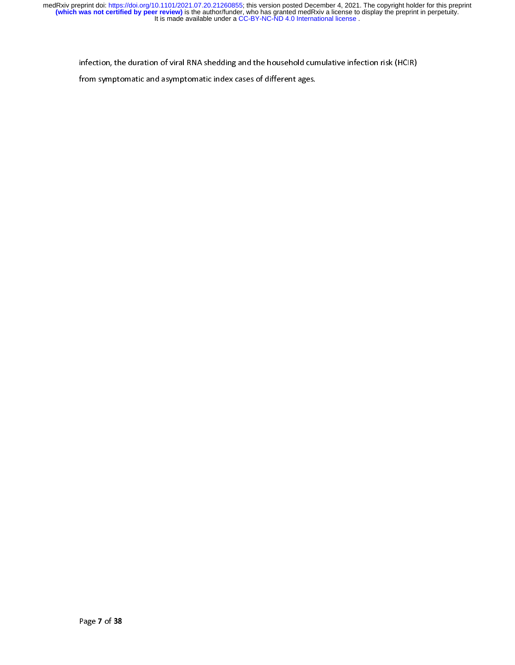infection, the duration of viral RNA shedding and the household cumulative infection risk (HCIR)

from symptomatic and asymptomatic index cases of different ages.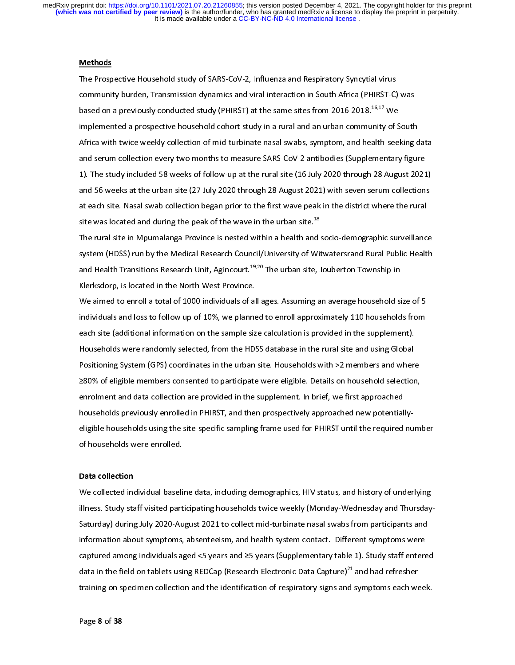## Methods

The Prospective Household study of SARS-CoV-2, Influenza and Respiratory Syncytial virus community burden, Transmission dynamics and viral interaction in South Africa (PHIRST-C) was based on a previously conducted study (PHIRST) at the same sites from 2016-2018.<sup>16,17</sup> We implemented a prospective household cohort study in a rural and an urban community of South Africa with twice weekly collection of mid-turbinate nasal swabs, symptom, and health-seeking data and serum collection every two months to measure SARS-CoV-2 antibodies (Supplementary figure 1). The study included 58 weeks of follow-up at the rural site (16 July 2020 through 28 August 2021) and 56 weeks at the urban site (27 July 2020 through 28 August 2021) with seven serum collections at each site. Nasal swab collection began prior to the first wave peak in the district where the rural site was located and during the peak of the wave in the urban site.<sup>18</sup>

The rural site in Mpumalanga Province is nested within a health and socio-demographic surveillance system (HDSS) run by the Medical Research Council/University of Witwatersrand Rural Public Health and Health Transitions Research Unit, Agincourt.<sup>19,20</sup> The urban site, Jouberton Township in Klerksdorp, is located in the North West Province.

We aimed to enroll a total of 1000 individuals of all ages. Assuming an average household size of 5 individuals and loss to follow up of 10%, we planned to enroll approximately 110 households from each site (additional information on the sample size calculation is provided in the supplement). Households were randomly selected, from the HDSS database in the rural site and using Global Positioning System (GPS) coordinates in the urban site. Households with >2 members and where ≥80% of eligible members consented to participate were eligible. Details on household selection, enrolment and data collection are provided in the supplement. In brief, we first approached households previously enrolled in PHIRST, and then prospectively approached new potentiallyeligible households using the site-specific sampling frame used for PHIRST until the required number of households were enrolled.

#### Data collection

We collected individual baseline data, including demographics, HIV status, and history of underlying illness. Study staff visited participating households twice weekly (Monday-Wednesday and Thursday-Saturday) during July 2020-August 2021 to collect mid-turbinate nasal swabs from participants and information about symptoms, absenteeism, and health system contact. Different symptoms were captured among individuals aged <5 years and ≥5 years (Supplementary table 1). Study staff entered data in the field on tablets using REDCap (Research Electronic Data Capture)<sup>21</sup> and had refresher training on specimen collection and the identification of respiratory signs and symptoms each week.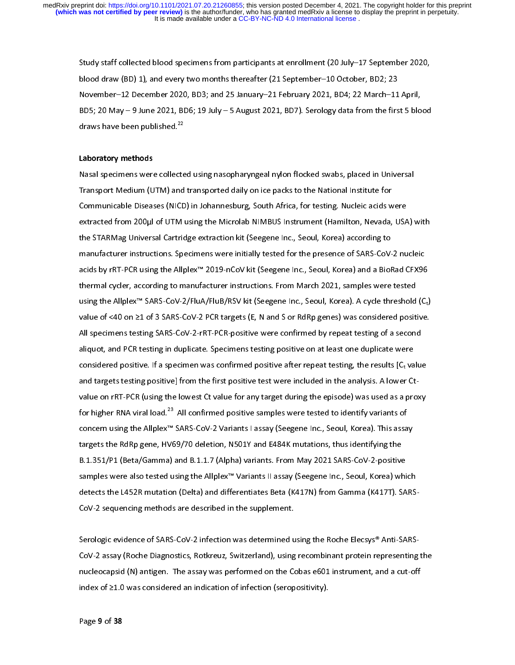Study staff collected blood specimens from participants at enrollment (20 July–17 September 2020, blood draw (BD) 1), and every two months thereafter (21 September–10 October, BD2; 23 November–12 December 2020, BD3; and 25 January–21 February 2021, BD4; 22 March–11 April, BD5; 20 May – 9 June 2021, BD6; 19 July – 5 August 2021, BD7). Serology data from the first 5 blood draws have been published.<sup>22</sup>

#### Laboratory methods

Nasal specimens were collected using nasopharyngeal nylon flocked swabs, placed in Universal Transport Medium (UTM) and transported daily on ice packs to the National Institute for Communicable Diseases (NICD) in Johannesburg, South Africa, for testing. Nucleic acids were extracted from 200µl of UTM using the Microlab NIMBUS Instrument (Hamilton, Nevada, USA) with the STARMag Universal Cartridge extraction kit (Seegene Inc., Seoul, Korea) according to manufacturer instructions. Specimens were initially tested for the presence of SARS-CoV-2 nucleic acids by rRT-PCR using the Allplex™ 2019-nCoV kit (Seegene Inc., Seoul, Korea) and a BioRad CFX96 thermal cycler, according to manufacturer instructions. From March 2021, samples were tested using the Allplex™ SARS-CoV-2/FluA/FluB/RSV kit (Seegene Inc., Seoul, Korea). A cycle threshold  $(C_t)$ value of <40 on ≥1 of 3 SARS-CoV-2 PCR targets (E, N and S or RdRp genes) was considered positive. All specimens testing SARS-CoV-2-rRT-PCR-positive were confirmed by repeat testing of a second aliquot, and PCR testing in duplicate. Specimens testing positive on at least one duplicate were considered positive. If a specimen was confirmed positive after repeat testing, the results  $[C_t$  value and targets testing positive] from the first positive test were included in the analysis. A lower Ctvalue on rRT-PCR (using the lowest Ct value for any target during the episode) was used as a proxy for higher RNA viral load.<sup>23</sup> All confirmed positive samples were tested to identify variants of concern using the Allplex™ SARS-CoV-2 Variants I assay (Seegene Inc., Seoul, Korea). This assay targets the RdRp gene, HV69/70 deletion, N501Y and E484K mutations, thus identifying the B.1.351/P1 (Beta/Gamma) and B.1.1.7 (Alpha) variants. From May 2021 SARS-CoV-2-positive samples were also tested using the Allplex™ Variants II assay (Seegene Inc., Seoul, Korea) which detects the L452R mutation (Delta) and differentiates Beta (K417N) from Gamma (K417T). SARS-CoV-2 sequencing methods are described in the supplement.

Serologic evidence of SARS-CoV-2 infection was determined using the Roche Elecsys® Anti-SARS-CoV-2 assay (Roche Diagnostics, Rotkreuz, Switzerland), using recombinant protein representing the nucleocapsid (N) antigen. The assay was performed on the Cobas e601 instrument, and a cut-off index of ≥1.0 was considered an indication of infection (seropositivity).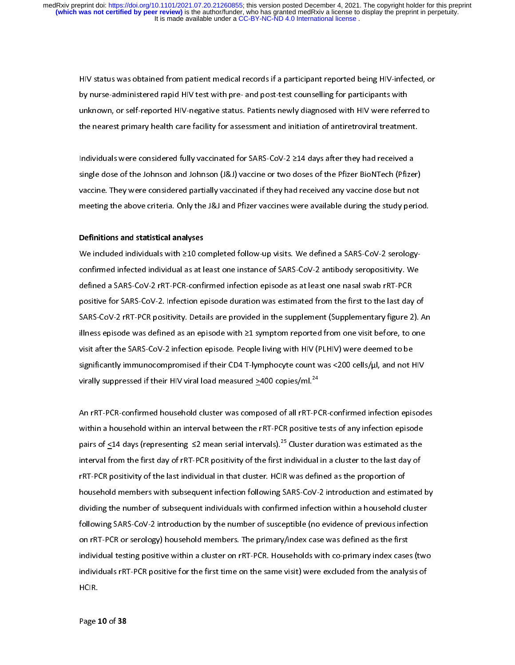HIV status was obtained from patient medical records if a participant reported being HIV-infected, or by nurse-administered rapid HIV test with pre- and post-test counselling for participants with unknown, or self-reported HIV-negative status. Patients newly diagnosed with HIV were referred to the nearest primary health care facility for assessment and initiation of antiretroviral treatment.

Individuals were considered fully vaccinated for SARS-CoV-2 ≥14 days after they had received a single dose of the Johnson and Johnson (J&J) vaccine or two doses of the Pfizer BioNTech (Pfizer) vaccine. They were considered partially vaccinated if they had received any vaccine dose but not meeting the above criteria. Only the J&J and Pfizer vaccines were available during the study period.

#### Definitions and statistical analyses

We included individuals with ≥10 completed follow-up visits. We defined a SARS-CoV-2 serologyconfirmed infected individual as at least one instance of SARS-CoV-2 antibody seropositivity. We defined a SARS-CoV-2 rRT-PCR-confirmed infection episode as at least one nasal swab rRT-PCR positive for SARS-CoV-2. Infection episode duration was estimated from the first to the last day of SARS-CoV-2 rRT-PCR positivity. Details are provided in the supplement (Supplementary figure 2). An illness episode was defined as an episode with ≥1 symptom reported from one visit before, to one visit after the SARS-CoV-2 infection episode. People living with HIV (PLHIV) were deemed to be significantly immunocompromised if their CD4 T-lymphocyte count was <200 cells/µl, and not HIV virally suppressed if their HIV viral load measured >400 copies/ml.<sup>24</sup>

An rRT-PCR-confirmed household cluster was composed of all rRT-PCR-confirmed infection episodes within a household within an interval between the rRT-PCR positive tests of any infection episode pairs of <14 days (representing ≤2 mean serial intervals).<sup>25</sup> Cluster duration was estimated as the interval from the first day of rRT-PCR positivity of the first individual in a cluster to the last day of rRT-PCR positivity of the last individual in that cluster. HCIR was defined as the proportion of household members with subsequent infection following SARS-CoV-2 introduction and estimated by dividing the number of subsequent individuals with confirmed infection within a household cluster following SARS-CoV-2 introduction by the number of susceptible (no evidence of previous infection on rRT-PCR or serology) household members. The primary/index case was defined as the first individual testing positive within a cluster on rRT-PCR. Households with co-primary index cases (two individuals rRT-PCR positive for the first time on the same visit) were excluded from the analysis of HCIR.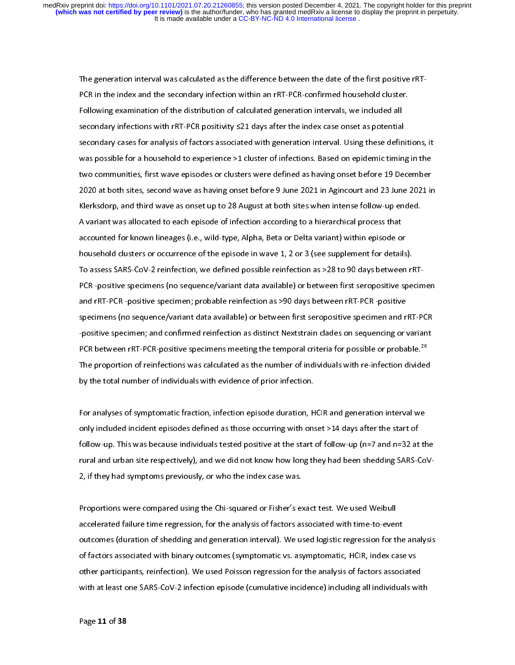The generation interval was calculated as the difference between the date of the first positive rRT-PCR in the index and the secondary infection within an rRT-PCR-confirmed household cluster. Following examination of the distribution of calculated generation intervals, we included all secondary infections with rRT-PCR positivity ≤21 days after the index case onset as potential secondary cases for analysis of factors associated with generation interval. Using these definitions, it was possible for a household to experience >1 cluster of infections. Based on epidemic timing in the two communities, first wave episodes or clusters were defined as having onset before 19 December 2020 at both sites, second wave as having onset before 9 June 2021 in Agincourt and 23 June 2021 in Klerksdorp, and third wave as onset up to 28 August at both sites when intense follow-up ended. A variant was allocated to each episode of infection according to a hierarchical process that accounted for known lineages (i.e., wild-type, Alpha, Beta or Delta variant) within episode or household clusters or occurrence of the episode in wave 1, 2 or 3 (see supplement for details). To assess SARS-CoV-2 reinfection, we defined possible reinfection as >28 to 90 days between rRT-PCR -positive specimens (no sequence/variant data available) or between first seropositive specimen and rRT-PCR -positive specimen; probable reinfection as >90 days between rRT-PCR -positive specimens (no sequence/variant data available) or between first seropositive specimen and rRT-PCR -positive specimen; and confirmed reinfection as distinct Nextstrain clades on sequencing or variant PCR between rRT-PCR-positive specimens meeting the temporal criteria for possible or probable.<sup>26</sup> The proportion of reinfections was calculated as the number of individuals with re-infection divided by the total number of individuals with evidence of prior infection.

For analyses of symptomatic fraction, infection episode duration, HCIR and generation interval we only included incident episodes defined as those occurring with onset >14 days after the start of follow-up. This was because individuals tested positive at the start of follow-up (n=7 and n=32 at the rural and urban site respectively), and we did not know how long they had been shedding SARS-CoV-2, if they had symptoms previously, or who the index case was.

Proportions were compared using the Chi-squared or Fisher's exact test. We used Weibull accelerated failure time regression, for the analysis of factors associated with time-to-event outcomes (duration of shedding and generation interval). We used logistic regression for the analysis of factors associated with binary outcomes (symptomatic vs. asymptomatic, HCIR, index case vs other participants, reinfection). We used Poisson regression for the analysis of factors associated with at least one SARS-CoV-2 infection episode (cumulative incidence) including all individuals with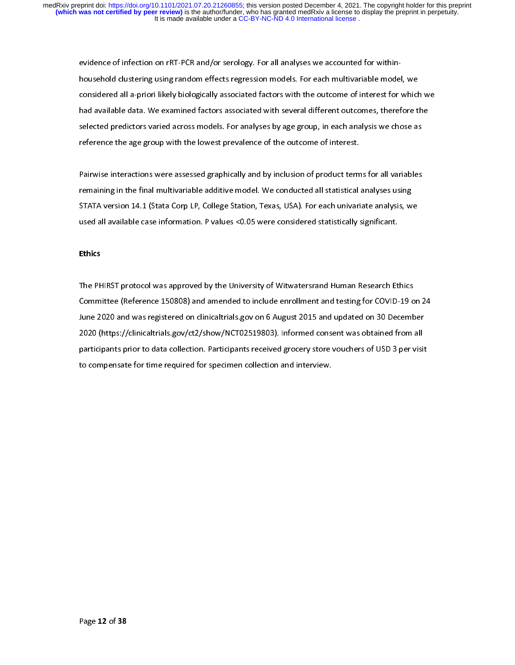evidence of infection on rRT-PCR and/or serology. For all analyses we accounted for withinhousehold clustering using random effects regression models. For each multivariable model, we considered all a-priori likely biologically associated factors with the outcome of interest for which we had available data. We examined factors associated with several different outcomes, therefore the selected predictors varied across models. For analyses by age group, in each analysis we chose as reference the age group with the lowest prevalence of the outcome of interest.

Pairwise interactions were assessed graphically and by inclusion of product terms for all variables remaining in the final multivariable additive model. We conducted all statistical analyses using STATA version 14.1 (Stata Corp LP, College Station, Texas, USA). For each univariate analysis, we used all available case information. P values <0.05 were considered statistically significant.

# Ethics

The PHIRST protocol was approved by the University of Witwatersrand Human Research Ethics Committee (Reference 150808) and amended to include enrollment and testing for COVID-19 on 24 June 2020 and was registered on clinicaltrials.gov on 6 August 2015 and updated on 30 December 2020 (https://clinicaltrials.gov/ct2/show/NCT02519803). Informed consent was obtained from all participants prior to data collection. Participants received grocery store vouchers of USD 3 per visit to compensate for time required for specimen collection and interview.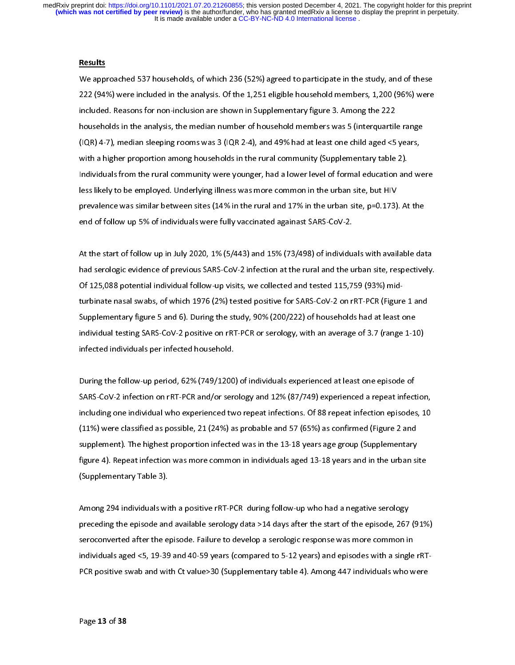## Results

We approached 537 households, of which 236 (52%) agreed to participate in the study, and of these 222 (94%) were included in the analysis. Of the 1,251 eligible household members, 1,200 (96%) were included. Reasons for non-inclusion are shown in Supplementary figure 3. Among the 222 households in the analysis, the median number of household members was 5 (interquartile range (IQR) 4-7), median sleeping rooms was 3 (IQR 2-4), and 49% had at least one child aged <5 years, with a higher proportion among households in the rural community (Supplementary table 2). Individuals from the rural community were younger, had a lower level of formal education and were less likely to be employed. Underlying illness was more common in the urban site, but HIV prevalence was similar between sites (14% in the rural and 17% in the urban site, p=0.173). At the end of follow up 5% of individuals were fully vaccinated againast SARS-CoV-2.

At the start of follow up in July 2020, 1% (5/443) and 15% (73/498) of individuals with available data had serologic evidence of previous SARS-CoV-2 infection at the rural and the urban site, respectively. Of 125,088 potential individual follow-up visits, we collected and tested 115,759 (93%) midturbinate nasal swabs, of which 1976 (2%) tested positive for SARS-CoV-2 on rRT-PCR (Figure 1 and Supplementary figure 5 and 6). During the study, 90% (200/222) of households had at least one individual testing SARS-CoV-2 positive on rRT-PCR or serology, with an average of 3.7 (range 1-10) infected individuals per infected household.

During the follow-up period, 62% (749/1200) of individuals experienced at least one episode of SARS-CoV-2 infection on rRT-PCR and/or serology and 12% (87/749) experienced a repeat infection, including one individual who experienced two repeat infections. Of 88 repeat infection episodes, 10 (11%) were classified as possible, 21 (24%) as probable and 57 (65%) as confirmed (Figure 2 and supplement). The highest proportion infected was in the 13-18 years age group (Supplementary figure 4). Repeat infection was more common in individuals aged 13-18 years and in the urban site (Supplementary Table 3).

Among 294 individuals with a positive rRT-PCR during follow-up who had a negative serology preceding the episode and available serology data >14 days after the start of the episode, 267 (91%) seroconverted after the episode. Failure to develop a serologic response was more common in individuals aged <5, 19-39 and 40-59 years (compared to 5-12 years) and episodes with a single rRT-PCR positive swab and with Ct value>30 (Supplementary table 4). Among 447 individuals who were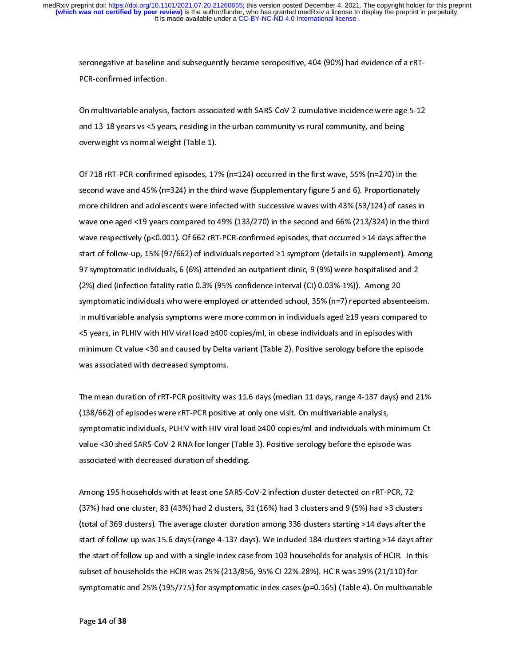seronegative at baseline and subsequently became seropositive, 404 (90%) had evidence of a rRT-PCR-confirmed infection.

On multivariable analysis, factors associated with SARS-CoV-2 cumulative incidence were age 5-12 and 13-18 years vs <5 years, residing in the urban community vs rural community, and being overweight vs normal weight (Table 1).

Of 718 rRT-PCR-confirmed episodes, 17% (n=124) occurred in the first wave, 55% (n=270) in the second wave and 45% (n=324) in the third wave (Supplementary figure 5 and 6). Proportionately more children and adolescents were infected with successive waves with 43% (53/124) of cases in wave one aged <19 years compared to 49% (133/270) in the second and 66% (213/324) in the third wave respectively (p<0.001). Of 662 rRT-PCR-confirmed episodes, that occurred >14 days after the start of follow-up, 15% (97/662) of individuals reported ≥1 symptom (details in supplement). Among 97 symptomatic individuals, 6 (6%) attended an outpatient clinic, 9 (9%) were hospitalised and 2 (2%) died (infection fatality ratio 0.3% (95% confidence interval (CI) 0.03%-1%)). Among 20 symptomatic individuals who were employed or attended school, 35% (n=7) reported absenteeism. In multivariable analysis symptoms were more common in individuals aged ≥19 years compared to <5 years, in PLHIV with HIV viral load ≥400 copies/ml, in obese individuals and in episodes with minimum Ct value <30 and caused by Delta variant (Table 2). Positive serology before the episode was associated with decreased symptoms.

The mean duration of rRT-PCR positivity was 11.6 days (median 11 days, range 4-137 days) and 21% (138/662) of episodes were rRT-PCR positive at only one visit. On multivariable analysis, symptomatic individuals, PLHIV with HIV viral load ≥400 copies/ml and individuals with minimum Ct value <30 shed SARS-CoV-2 RNA for longer (Table 3). Positive serology before the episode was associated with decreased duration of shedding.

Among 195 households with at least one SARS-CoV-2 infection cluster detected on rRT-PCR, 72 (37%) had one cluster, 83 (43%) had 2 clusters, 31 (16%) had 3 clusters and 9 (5%) had >3 clusters (total of 369 clusters). The average cluster duration among 336 clusters starting >14 days after the start of follow up was 15.6 days (range 4-137 days). We included 184 clusters starting >14 days after the start of follow up and with a single index case from 103 households for analysis of HCIR. In this subset of households the HCIR was 25% (213/856, 95% CI 22%-28%). HCIR was 19% (21/110) for symptomatic and 25% (195/775) for asymptomatic index cases (p=0.165) (Table 4). On multivariable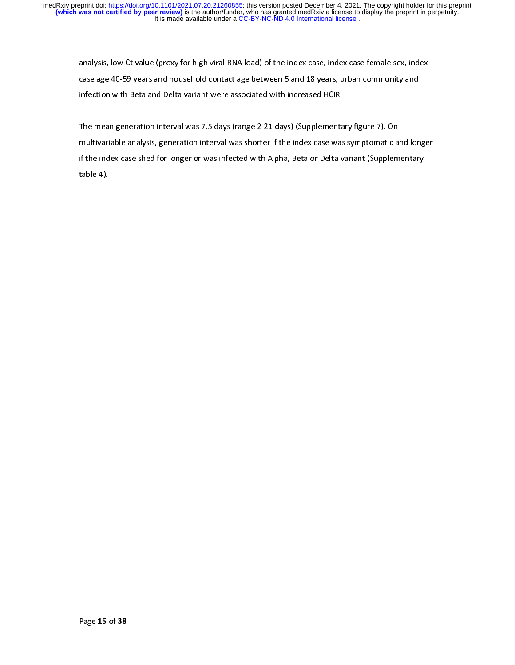analysis, low Ct value (proxy for high viral RNA load) of the index case, index case female sex, index case age 40-59 years and household contact age between 5 and 18 years, urban community and infection with Beta and Delta variant were associated with increased HCIR.

The mean generation interval was 7.5 days (range 2-21 days) (Supplementary figure 7). On multivariable analysis, generation interval was shorter if the index case was symptomatic and longer if the index case shed for longer or was infected with Alpha, Beta or Delta variant (Supplementary table 4).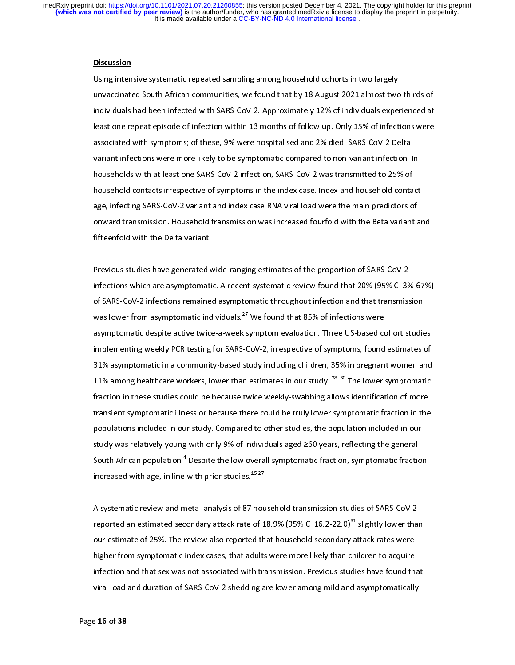#### Discussion

Using intensive systematic repeated sampling among household cohorts in two largely unvaccinated South African communities, we found that by 18 August 2021 almost two-thirds of individuals had been infected with SARS-CoV-2. Approximately 12% of individuals experienced at least one repeat episode of infection within 13 months of follow up. Only 15% of infections were associated with symptoms; of these, 9% were hospitalised and 2% died. SARS-CoV-2 Delta variant infections were more likely to be symptomatic compared to non-variant infection. In households with at least one SARS-CoV-2 infection, SARS-CoV-2 was transmitted to 25% of household contacts irrespective of symptoms in the index case. Index and household contact age, infecting SARS-CoV-2 variant and index case RNA viral load were the main predictors of onward transmission. Household transmission was increased fourfold with the Beta variant and fifteenfold with the Delta variant.

Previous studies have generated wide-ranging estimates of the proportion of SARS-CoV-2 infections which are asymptomatic. A recent systematic review found that 20% (95% CI 3%-67%) of SARS-CoV-2 infections remained asymptomatic throughout infection and that transmission was lower from asymptomatic individuals.<sup>27</sup> We found that 85% of infections were asymptomatic despite active twice-a-week symptom evaluation. Three US-based cohort studies implementing weekly PCR testing for SARS-CoV-2, irrespective of symptoms, found estimates of 31% asymptomatic in a community-based study including children, 35% in pregnant women and 11% among healthcare workers, lower than estimates in our study.  $^{28-30}$  The lower symptomatic fraction in these studies could be because twice weekly-swabbing allows identification of more transient symptomatic illness or because there could be truly lower symptomatic fraction in the populations included in our study. Compared to other studies, the population included in our study was relatively young with only 9% of individuals aged ≥60 years, reflecting the general South African population." Despite the low overall symptomatic fraction, symptomatic fraction increased with age, in line with prior studies. $15,27$ 

A systematic review and meta -analysis of 87 household transmission studies of SARS-CoV-2 reported an estimated secondary attack rate of 18.9% (95% CI 16.2-22.0)<sup>31</sup> slightly lower than our estimate of 25%. The review also reported that household secondary attack rates were higher from symptomatic index cases, that adults were more likely than children to acquire infection and that sex was not associated with transmission. Previous studies have found that viral load and duration of SARS-CoV-2 shedding are lower among mild and asymptomatically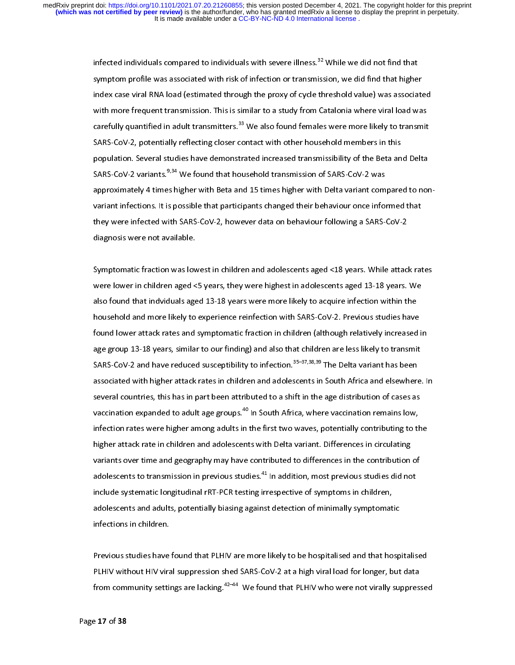> infected individuals compared to individuals with severe illness.<sup>32</sup> While we did not find that symptom profile was associated with risk of infection or transmission, we did find that higher index case viral RNA load (estimated through the proxy of cycle threshold value) was associated with more frequent transmission. This is similar to a study from Catalonia where viral load was carefully quantified in adult transmitters.<sup>33</sup> We also found females were more likely to transmit SARS-CoV-2, potentially reflecting closer contact with other household members in this population. Several studies have demonstrated increased transmissibility of the Beta and Delta SARS-CoV-2 variants.<sup>9,34</sup> We found that household transmission of SARS-CoV-2 was approximately 4 times higher with Beta and 15 times higher with Delta variant compared to nonvariant infections. It is possible that participants changed their behaviour once informed that they were infected with SARS-CoV-2, however data on behaviour following a SARS-CoV-2 diagnosis were not available.

> Symptomatic fraction was lowest in children and adolescents aged <18 years. While attack rates were lower in children aged <5 years, they were highest in adolescents aged 13-18 years. We also found that indviduals aged 13-18 years were more likely to acquire infection within the household and more likely to experience reinfection with SARS-CoV-2. Previous studies have found lower attack rates and symptomatic fraction in children (although relatively increased in age group 13-18 years, similar to our finding) and also that children are less likely to transmit SARS-CoV-2 and have reduced susceptibility to infection.<sup>35–37,38,39</sup> The Delta variant has been associated with higher attack rates in children and adolescents in South Africa and elsewhere. In several countries, this has in part been attributed to a shift in the age distribution of cases as vaccination expanded to adult age groups.<sup>40</sup> In South Africa, where vaccination remains low, infection rates were higher among adults in the first two waves, potentially contributing to the higher attack rate in children and adolescents with Delta variant. Differences in circulating variants over time and geography may have contributed to differences in the contribution of adolescents to transmission in previous studies.<sup>41</sup> In addition, most previous studies did not include systematic longitudinal rRT-PCR testing irrespective of symptoms in children, adolescents and adults, potentially biasing against detection of minimally symptomatic infections in children.

> Previous studies have found that PLHIV are more likely to be hospitalised and that hospitalised PLHIV without HIV viral suppression shed SARS-CoV-2 at a high viral load for longer, but data from community settings are lacking.<sup>42–44</sup> We found that PLHIV who were not virally suppressed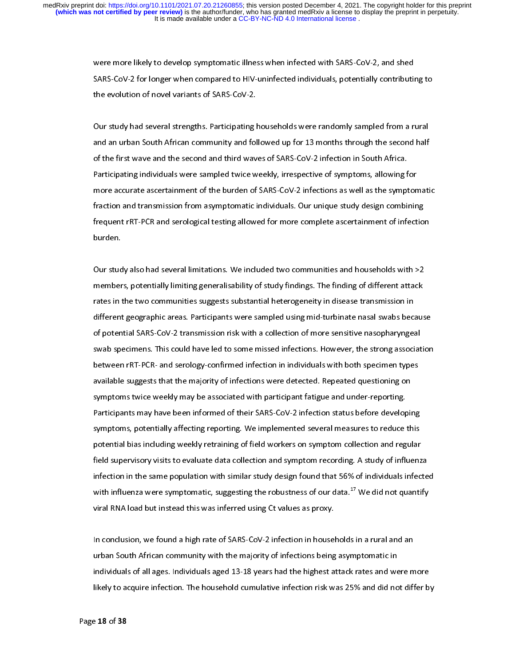were more likely to develop symptomatic illness when infected with SARS-CoV-2, and shed SARS-CoV-2 for longer when compared to HIV-uninfected individuals, potentially contributing to the evolution of novel variants of SARS-CoV-2.

Our study had several strengths. Participating households were randomly sampled from a rural and an urban South African community and followed up for 13 months through the second half of the first wave and the second and third waves of SARS-CoV-2 infection in South Africa. Participating individuals were sampled twice weekly, irrespective of symptoms, allowing for more accurate ascertainment of the burden of SARS-CoV-2 infections as well as the symptomatic fraction and transmission from asymptomatic individuals. Our unique study design combining frequent rRT-PCR and serological testing allowed for more complete ascertainment of infection burden.

Our study also had several limitations. We included two communities and households with >2 members, potentially limiting generalisability of study findings. The finding of different attack rates in the two communities suggests substantial heterogeneity in disease transmission in different geographic areas. Participants were sampled using mid-turbinate nasal swabs because of potential SARS-CoV-2 transmission risk with a collection of more sensitive nasopharyngeal swab specimens. This could have led to some missed infections. However, the strong association between rRT-PCR- and serology-confirmed infection in individuals with both specimen types available suggests that the majority of infections were detected. Repeated questioning on symptoms twice weekly may be associated with participant fatigue and under-reporting. Participants may have been informed of their SARS-CoV-2 infection status before developing symptoms, potentially affecting reporting. We implemented several measures to reduce this potential bias including weekly retraining of field workers on symptom collection and regular field supervisory visits to evaluate data collection and symptom recording. A study of influenza infection in the same population with similar study design found that 56% of individuals infected with influenza were symptomatic, suggesting the robustness of our data.<sup>17</sup> We did not quantify viral RNA load but instead this was inferred using Ct values as proxy.

In conclusion, we found a high rate of SARS-CoV-2 infection in households in a rural and an urban South African community with the majority of infections being asymptomatic in individuals of all ages. Individuals aged 13-18 years had the highest attack rates and were more likely to acquire infection. The household cumulative infection risk was 25% and did not differ by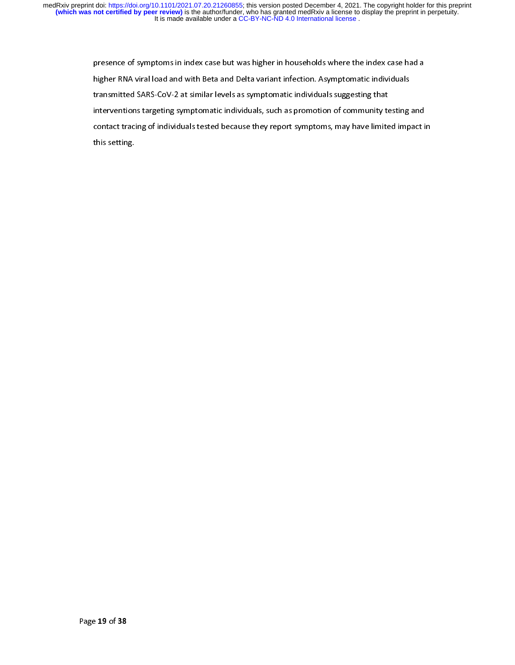> presence of symptoms in index case but was higher in households where the index case had a higher RNA viral load and with Beta and Delta variant infection. Asymptomatic individuals transmitted SARS-CoV-2 at similar levels as symptomatic individuals suggesting that interventions targeting symptomatic individuals, such as promotion of community testing and contact tracing of individuals tested because they report symptoms, may have limited impact in this setting.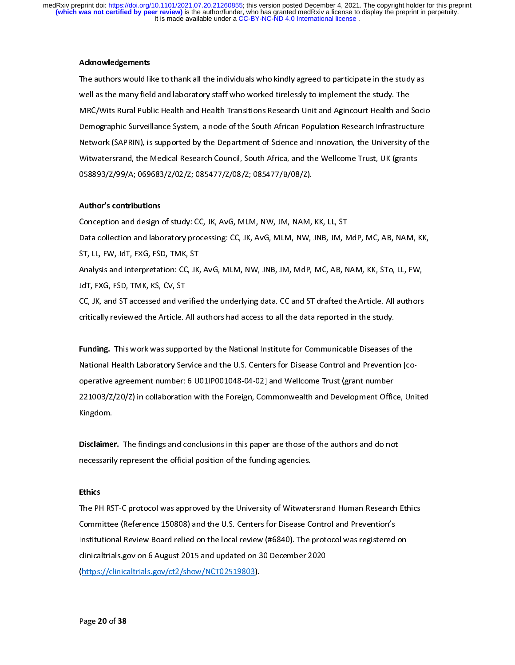## Acknowledgements

The authors would like to thank all the individuals who kindly agreed to participate in the study as well as the many field and laboratory staff who worked tirelessly to implement the study. The MRC/Wits Rural Public Health and Health Transitions Research Unit and Agincourt Health and Socio-Demographic Surveillance System, a node of the South African Population Research Infrastructure Network (SAPRIN), is supported by the Department of Science and Innovation, the University of the Witwatersrand, the Medical Research Council, South Africa, and the Wellcome Trust, UK (grants 058893/Z/99/A; 069683/Z/02/Z; 085477/Z/08/Z; 085477/B/08/Z).

## Author's contributions

Conception and design of study: CC, JK, AvG, MLM, NW, JM, NAM, KK, LL, ST Data collection and laboratory processing: CC, JK, AvG, MLM, NW, JNB, JM, MdP, MC, AB, NAM, KK, ST, LL, FW, JdT, FXG, FSD, TMK, ST Analysis and interpretation: CC, JK, AvG, MLM, NW, JNB, JM, MdP, MC, AB, NAM, KK, STo, LL, FW, JdT, FXG, FSD, TMK, KS, CV, ST

CC, JK, and ST accessed and verified the underlying data. CC and ST drafted the Article. All authors critically reviewed the Article. All authors had access to all the data reported in the study.

Funding. This work was supported by the National Institute for Communicable Diseases of the National Health Laboratory Service and the U.S. Centers for Disease Control and Prevention [cooperative agreement number: 6 U01IP001048-04-02] and Wellcome Trust (grant number 221003/Z/20/Z) in collaboration with the Foreign, Commonwealth and Development Office, United Kingdom.

Disclaimer. The findings and conclusions in this paper are those of the authors and do not necessarily represent the official position of the funding agencies.

#### Ethics

The PHIRST-C protocol was approved by the University of Witwatersrand Human Research Ethics Committee (Reference 150808) and the U.S. Centers for Disease Control and Prevention's Institutional Review Board relied on the local review (#6840). The protocol was registered on clinicaltrials.gov on 6 August 2015 and updated on 30 December 2020 (https://clinicaltrials.gov/ct2/show/NCT02519803).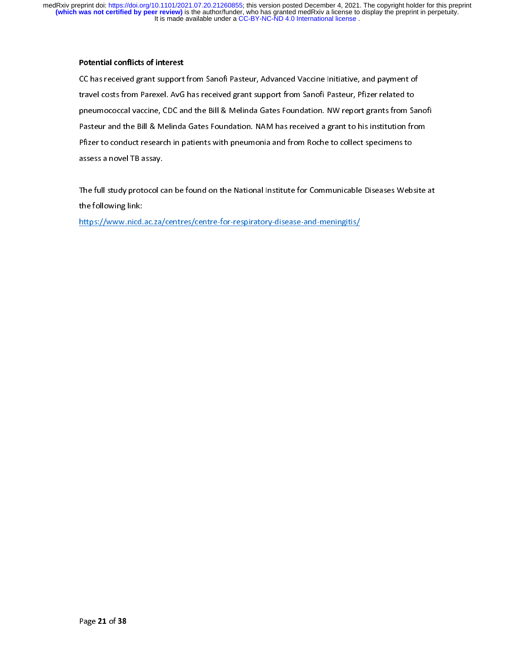# Potential conflicts of interest

CC has received grant support from Sanofi Pasteur, Advanced Vaccine Initiative, and payment of travel costs from Parexel. AvG has received grant support from Sanofi Pasteur, Pfizer related to pneumococcal vaccine, CDC and the Bill & Melinda Gates Foundation. NW report grants from Sanofi Pasteur and the Bill & Melinda Gates Foundation. NAM has received a grant to his institution from Pfizer to conduct research in patients with pneumonia and from Roche to collect specimens to assess a novel TB assay.

The full study protocol can be found on the National Institute for Communicable Diseases Website at the following link:

https://www.nicd.ac.za/centres/centre-for-respiratory-disease-and-meningitis/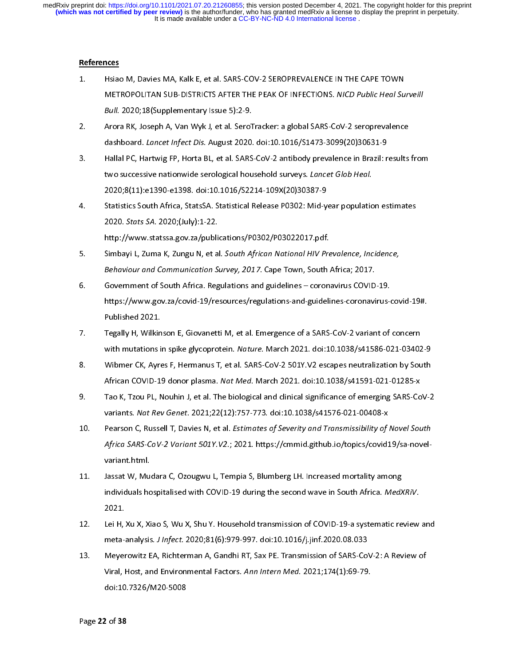## References

- 1. Hsiao M, Davies MA, Kalk E, et al. SARS-COV-2 SEROPREVALENCE IN THE CAPE TOWN METROPOLITAN SUB-DISTRICTS AFTER THE PEAK OF INFECTIONS. NICD Public Heal Surveill Bull. 2020;18(Supplementary Issue 5):2-9.
- 2. Arora RK, Joseph A, Van Wyk J, et al. SeroTracker: a global SARS-CoV-2 seroprevalence dashboard. Lancet Infect Dis. August 2020. doi:10.1016/S1473-3099(20)30631-9
- 3. Hallal PC, Hartwig FP, Horta BL, et al. SARS-CoV-2 antibody prevalence in Brazil: results from two successive nationwide serological household surveys. Lancet Glob Heal. 2020;8(11):e1390-e1398. doi:10.1016/S2214-109X(20)30387-9
- 4. Statistics South Africa, StatsSA. Statistical Release P0302: Mid-year population estimates 2020. Stats SA. 2020;(July):1-22. http://www.statssa.gov.za/publications/P0302/P03022017.pdf.
- 5. Simbayi L, Zuma K, Zungu N, et al. South African National HIV Prevalence, Incidence, Behaviour and Communication Survey, 2017. Cape Town, South Africa; 2017.
- 6. Government of South Africa. Regulations and guidelines coronavirus COVID-19. https://www.gov.za/covid-19/resources/regulations-and-guidelines-coronavirus-covid-19#. Published 2021.
- 7. Tegally H, Wilkinson E, Giovanetti M, et al. Emergence of a SARS-CoV-2 variant of concern with mutations in spike glycoprotein. Nature. March 2021. doi:10.1038/s41586-021-03402-9
- 8. Wibmer CK, Ayres F, Hermanus T, et al. SARS-CoV-2 501Y.V2 escapes neutralization by South African COVID-19 donor plasma. Nat Med. March 2021. doi:10.1038/s41591-021-01285-x
- 9. Tao K, Tzou PL, Nouhin J, et al. The biological and clinical significance of emerging SARS-CoV-2 variants. Nat Rev Genet. 2021;22(12):757-773. doi:10.1038/s41576-021-00408-x
- 10. Pearson C, Russell T, Davies N, et al. Estimates of Severity and Transmissibility of Novel South Africa SARS-CoV-2 Variant 501Y.V2.; 2021. https://cmmid.github.io/topics/covid19/sa-novelvariant.html.
- 11. Jassat W, Mudara C, Ozougwu L, Tempia S, Blumberg LH. Increased mortality among individuals hospitalised with COVID-19 during the second wave in South Africa. MedXRiV. 2021.
- 12. Lei H, Xu X, Xiao S, Wu X, Shu Y. Household transmission of COVID-19-a systematic review and meta-analysis. J Infect. 2020;81(6):979-997. doi:10.1016/j.jinf.2020.08.033
- 13. Meyerowitz EA, Richterman A, Gandhi RT, Sax PE. Transmission of SARS-CoV-2: A Review of Viral, Host, and Environmental Factors. Ann Intern Med. 2021;174(1):69-79. doi:10.7326/M20-5008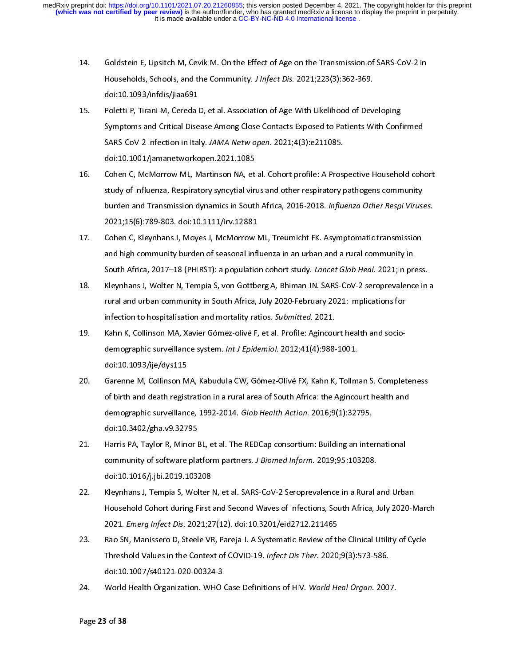- 14. Goldstein E, Lipsitch M, Cevik M. On the Effect of Age on the Transmission of SARS-CoV-2 in Households, Schools, and the Community. J Infect Dis. 2021;223(3):362-369. doi:10.1093/infdis/jiaa691
- 15. Poletti P, Tirani M, Cereda D, et al. Association of Age With Likelihood of Developing Symptoms and Critical Disease Among Close Contacts Exposed to Patients With Confirmed SARS-CoV-2 Infection in Italy. JAMA Netw open. 2021;4(3):e211085. doi:10.1001/jamanetworkopen.2021.1085
- 16. Cohen C, McMorrow ML, Martinson NA, et al. Cohort profile: A Prospective Household cohort study of Influenza, Respiratory syncytial virus and other respiratory pathogens community burden and Transmission dynamics in South Africa, 2016-2018. Influenza Other Respi Viruses. 2021;15(6):789-803. doi:10.1111/irv.12881
- 17. Cohen C, Kleynhans J, Moyes J, McMorrow ML, Treurnicht FK. Asymptomatic transmission and high community burden of seasonal influenza in an urban and a rural community in South Africa, 2017–18 (PHIRST): a population cohort study. Lancet Glob Heal. 2021;In press.
- 18. Kleynhans J, Wolter N, Tempia S, von Gottberg A, Bhiman JN. SARS-CoV-2 seroprevalence in a rural and urban community in South Africa, July 2020-February 2021: Implications for infection to hospitalisation and mortality ratios. Submitted. 2021.
- 19. Kahn K, Collinson MA, Xavier Gómez-olivé F, et al. Profile: Agincourt health and sociodemographic surveillance system. Int J Epidemiol. 2012;41(4):988-1001. doi:10.1093/ije/dys115
- 20. Garenne M, Collinson MA, Kabudula CW, Gómez-Olivé FX, Kahn K, Tollman S. Completeness of birth and death registration in a rural area of South Africa: the Agincourt health and demographic surveillance, 1992-2014. Glob Health Action. 2016;9(1):32795. doi:10.3402/gha.v9.32795
- 21. Harris PA, Taylor R, Minor BL, et al. The REDCap consortium: Building an international community of software platform partners. J Biomed Inform. 2019;95:103208. doi:10.1016/j.jbi.2019.103208
- 22. Kleynhans J, Tempia S, Wolter N, et al. SARS-CoV-2 Seroprevalence in a Rural and Urban Household Cohort during First and Second Waves of Infections, South Africa, July 2020-March 2021. Emerg Infect Dis. 2021;27(12). doi:10.3201/eid2712.211465
- 23. Rao SN, Manissero D, Steele VR, Pareja J. A Systematic Review of the Clinical Utility of Cycle Threshold Values in the Context of COVID-19. Infect Dis Ther. 2020;9(3):573-586. doi:10.1007/s40121-020-00324-3
- 24. World Health Organization. WHO Case Definitions of HIV. World Heal Organ. 2007.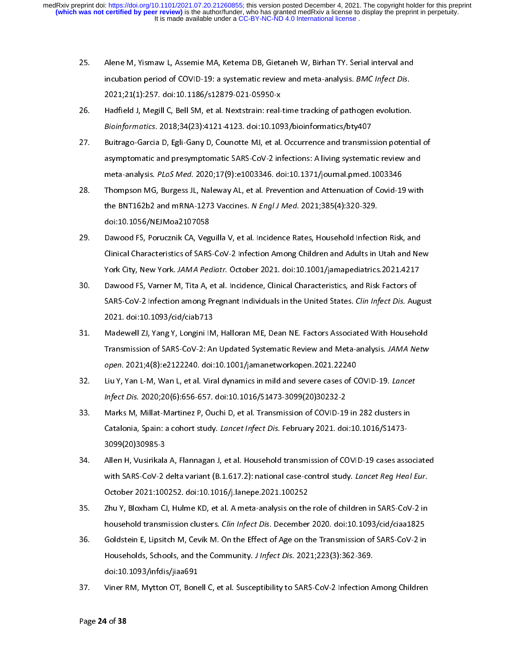- 25. Alene M, Yismaw L, Assemie MA, Ketema DB, Gietaneh W, Birhan TY. Serial interval and incubation period of COVID-19: a systematic review and meta-analysis. BMC Infect Dis. 2021;21(1):257. doi:10.1186/s12879-021-05950-x
- 26. Hadfield J, Megill C, Bell SM, et al. Nextstrain: real-time tracking of pathogen evolution. Bioinformatics. 2018;34(23):4121-4123. doi:10.1093/bioinformatics/bty407
- 27. Buitrago-Garcia D, Egli-Gany D, Counotte MJ, et al. Occurrence and transmission potential of asymptomatic and presymptomatic SARS-CoV-2 infections: A living systematic review and meta-analysis. PLoS Med. 2020;17(9):e1003346. doi:10.1371/journal.pmed.1003346
- 28. Thompson MG, Burgess JL, Naleway AL, et al. Prevention and Attenuation of Covid-19 with the BNT162b2 and mRNA-1273 Vaccines. N Engl J Med. 2021;385(4):320-329. doi:10.1056/NEJMoa2107058
- 29. Dawood FS, Porucznik CA, Veguilla V, et al. Incidence Rates, Household Infection Risk, and Clinical Characteristics of SARS-CoV-2 Infection Among Children and Adults in Utah and New York City, New York. JAMA Pediatr. October 2021. doi:10.1001/jamapediatrics.2021.4217
- 30. Dawood FS, Varner M, Tita A, et al. Incidence, Clinical Characteristics, and Risk Factors of SARS-CoV-2 Infection among Pregnant Individuals in the United States. Clin Infect Dis. August 2021. doi:10.1093/cid/ciab713
- 31. Madewell ZJ, Yang Y, Longini IM, Halloran ME, Dean NE. Factors Associated With Household Transmission of SARS-CoV-2: An Updated Systematic Review and Meta-analysis. JAMA Netw open. 2021;4(8):e2122240. doi:10.1001/jamanetworkopen.2021.22240
- 32. Liu Y, Yan L-M, Wan L, et al. Viral dynamics in mild and severe cases of COVID-19. Lancet Infect Dis. 2020;20(6):656-657. doi:10.1016/S1473-3099(20)30232-2
- 33. Marks M, Millat-Martinez P, Ouchi D, et al. Transmission of COVID-19 in 282 clusters in Catalonia, Spain: a cohort study. Lancet Infect Dis. February 2021. doi:10.1016/S1473-3099(20)30985-3
- 34. Allen H, Vusirikala A, Flannagan J, et al. Household transmission of COVID-19 cases associated with SARS-CoV-2 delta variant (B.1.617.2): national case-control study. Lancet Reg Heal Eur. October 2021:100252. doi:10.1016/j.lanepe.2021.100252
- 35. Zhu Y, Bloxham CJ, Hulme KD, et al. A meta-analysis on the role of children in SARS-CoV-2 in household transmission clusters. Clin Infect Dis. December 2020. doi:10.1093/cid/ciaa1825
- 36. Goldstein E, Lipsitch M, Cevik M. On the Effect of Age on the Transmission of SARS-CoV-2 in Households, Schools, and the Community. J Infect Dis. 2021;223(3):362-369. doi:10.1093/infdis/jiaa691
- 37. Viner RM, Mytton OT, Bonell C, et al. Susceptibility to SARS-CoV-2 Infection Among Children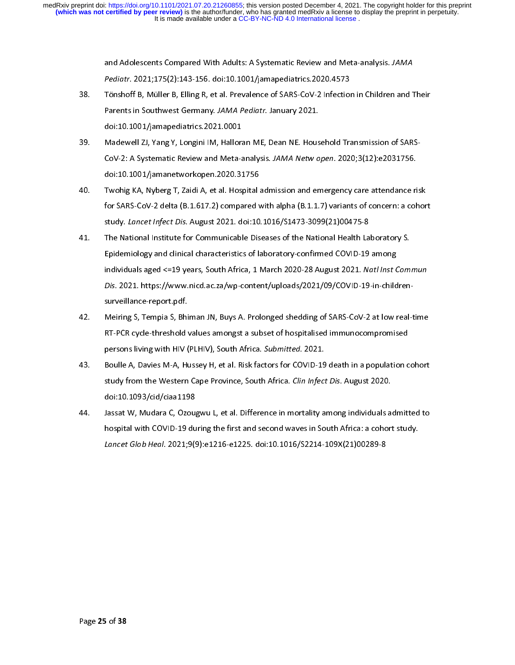and Adolescents Compared With Adults: A Systematic Review and Meta-analysis. JAMA Pediatr. 2021;175(2):143-156. doi:10.1001/jamapediatrics.2020.4573

- 38. Tönshoff B, Müller B, Elling R, et al. Prevalence of SARS-CoV-2 Infection in Children and Their Parents in Southwest Germany. JAMA Pediatr. January 2021. doi:10.1001/jamapediatrics.2021.0001
- 39. Madewell ZJ, Yang Y, Longini IM, Halloran ME, Dean NE. Household Transmission of SARS-CoV-2: A Systematic Review and Meta-analysis. JAMA Netw open. 2020;3(12):e2031756. doi:10.1001/jamanetworkopen.2020.31756
- 40. Twohig KA, Nyberg T, Zaidi A, et al. Hospital admission and emergency care attendance risk for SARS-CoV-2 delta (B.1.617.2) compared with alpha (B.1.1.7) variants of concern: a cohort study. Lancet Infect Dis. August 2021. doi:10.1016/S1473-3099(21)00475-8
- 41. The National Institute for Communicable Diseases of the National Health Laboratory S. Epidemiology and clinical characteristics of laboratory-confirmed COVID-19 among individuals aged <=19 years, South Africa, 1 March 2020-28 August 2021. Natl Inst Commun Dis. 2021. https://www.nicd.ac.za/wp-content/uploads/2021/09/COVID-19-in-childrensurveillance-report.pdf.
- 42. Meiring S, Tempia S, Bhiman JN, Buys A. Prolonged shedding of SARS-CoV-2 at low real-time RT-PCR cycle-threshold values amongst a subset of hospitalised immunocompromised persons living with HIV (PLHIV), South Africa. Submitted. 2021.
- 43. Boulle A, Davies M-A, Hussey H, et al. Risk factors for COVID-19 death in a population cohort study from the Western Cape Province, South Africa. Clin Infect Dis. August 2020. doi:10.1093/cid/ciaa1198
- 44. Jassat W, Mudara C, Ozougwu L, et al. Difference in mortality among individuals admitted to hospital with COVID-19 during the first and second waves in South Africa: a cohort study. Lancet Glob Heal. 2021;9(9):e1216-e1225. doi:10.1016/S2214-109X(21)00289-8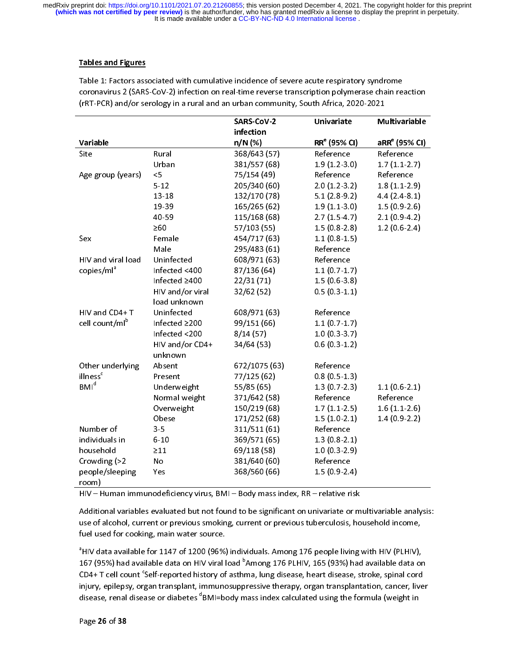# Tables and Figures

|                            |                  | SARS-CoV-2    | Univariate               | <b>Multivariable</b>      |
|----------------------------|------------------|---------------|--------------------------|---------------------------|
|                            |                  | infection     |                          |                           |
| Variable                   |                  | $n/N$ (%)     | RR <sup>e</sup> (95% CI) | aRR <sup>e</sup> (95% CI) |
| Site                       | Rural            | 368/643 (57)  | Reference                | Reference                 |
|                            | Urban            | 381/557 (68)  | $1.9(1.2-3.0)$           | $1.7(1.1-2.7)$            |
| Age group (years)          | $\leq$           | 75/154 (49)   | Reference                | Reference                 |
|                            | $5 - 12$         | 205/340 (60)  | $2.0(1.2-3.2)$           | 1.8(1.1.2.9)              |
|                            | 13-18            | 132/170 (78)  | $5.1(2.8-9.2)$           | 4.4(2.4.8.1)              |
|                            | 19 39            | 165/265 (62)  | $1.9(1.1-3.0)$           | $1.5(0.9-2.6)$            |
|                            | 40-59            | 115/168 (68)  | $2.7(1.5-4.7)$           | $2.1(0.9-4.2)$            |
|                            | $\geq 60$        | 57/103 (55)   | $1.5(0.8-2.8)$           | $1.2(0.6-2.4)$            |
| Sex                        | Female           | 454/717 (63)  | $1.1(0.8-1.5)$           |                           |
|                            | Male             | 295/483 (61)  | Reference                |                           |
| HIV and viral load         | Uninfected       | 608/971 (63)  | Reference                |                           |
| copies/ml <sup>ª</sup>     | Infected <400    | 87/136 (64)   | 1.1(0.7.1.7)             |                           |
|                            | Infected ≥400    | 22/31(71)     | $1.5(0.6-3.8)$           |                           |
|                            | HIV and/or viral | 32/62 (52)    | $0.5(0.3-1.1)$           |                           |
|                            | load unknown     |               |                          |                           |
| HIV and CD4+T              | Uninfected       | 608/971 (63)  | Reference                |                           |
| cell count/ml <sup>b</sup> | Infected ≥200    | 99/151 (66)   | $1.1(0.7-1.7)$           |                           |
|                            | Infected <200    | 8/14(57)      | $1.0(0.3-3.7)$           |                           |
|                            | HIV and/or CD4+  | 34/64 (53)    | $0.6(0.3 - 1.2)$         |                           |
|                            | unknown          |               |                          |                           |
| Other underlying           | Absent           | 672/1075 (63) | Reference                |                           |
| illness <sup>c</sup>       | Present          | 77/125 (62)   | $0.8(0.5-1.3)$           |                           |
| BMI <sup>d</sup>           | Underweight      | 55/85 (65)    | $1.3(0.7-2.3)$           | $1.1(0.6-2.1)$            |
|                            | Normal weight    | 371/642 (58)  | Reference                | Reference                 |
|                            | Overweight       | 150/219 (68)  | $1.7(1.1-2.5)$           | $1.6(1.1-2.6)$            |
|                            | Obese            | 171/252 (68)  | $1.5(1.0-2.1)$           | $1.4(0.9-2.2)$            |
| Number of                  | 3 <sub>5</sub>   | 311/511 (61)  | Reference                |                           |
| individuals in             | $6 - 10$         | 369/571 (65)  | $1.3(0.8-2.1)$           |                           |
| household                  | $\geq$ 11        | 69/118 (58)   | $1.0(0.3-2.9)$           |                           |
| Crowding (>2               | No               | 381/640 (60)  | Reference                |                           |
| people/sleeping            | Yes              | 368/560 (66)  | $1.5(0.9-2.4)$           |                           |
| room)                      |                  |               |                          |                           |

Table 1: Factors associated with cumulative incidence of severe acute respiratory syndrome coronavirus 2 (SARS-CoV-2) infection on real-time reverse transcription polymerase chain reaction (rRT-PCR) and/or serology in a rural and an urban community, South Africa, 2020-2021

HIV – Human immunodeficiency virus, BMI – Body mass index, RR – relative risk

Additional variables evaluated but not found to be significant on univariate or multivariable analysis: use of alcohol, current or previous smoking, current or previous tuberculosis, household income, fuel used for cooking, main water source.

a HIV data available for 1147 of 1200 (96%) individuals. Among 176 people living with HIV (PLHIV), 167 (95%) had available data on HIV viral load <sup>o</sup>Among 176 PLHIV, 165 (93%) had available data on CD4+ T cell count 'Self-reported history of asthma, lung disease, heart disease, stroke, spinal cord injury, epilepsy, organ transplant, immunosuppressive therapy, organ transplantation, cancer, liver disease, renal disease or diabetes  $^{\mathrm{o}}$ BMI=body mass index calculated using the formula (weight in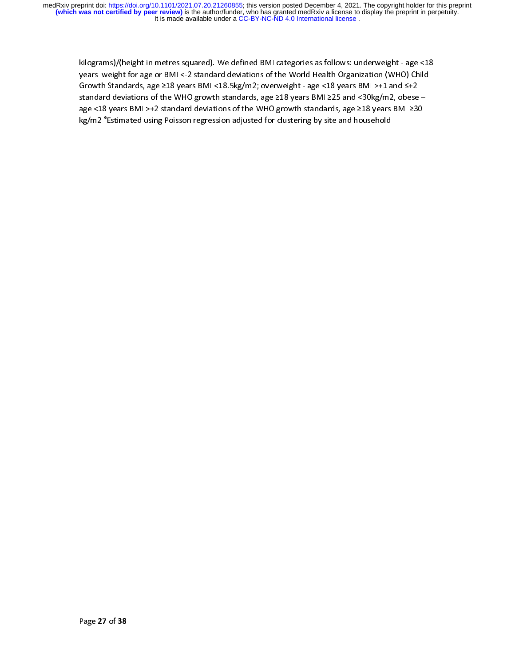kilograms)/(height in metres squared). We defined BMI categories as follows: underweight - age <18 years weight for age or BMI <-2 standard deviations of the World Health Organization (WHO) Child Growth Standards, age ≥18 years BMI <18.5kg/m2; overweight - age <18 years BMI >+1 and ≤+2 standard deviations of the WHO growth standards, age ≥18 years BMI ≥25 and <30kg/m2, obese – age <18 years BMI >+2 standard deviations of the WHO growth standards, age ≥18 years BMI ≥30 kg/m2 <code>"Estimated</code> using Poisson regression adjusted for clustering by site and household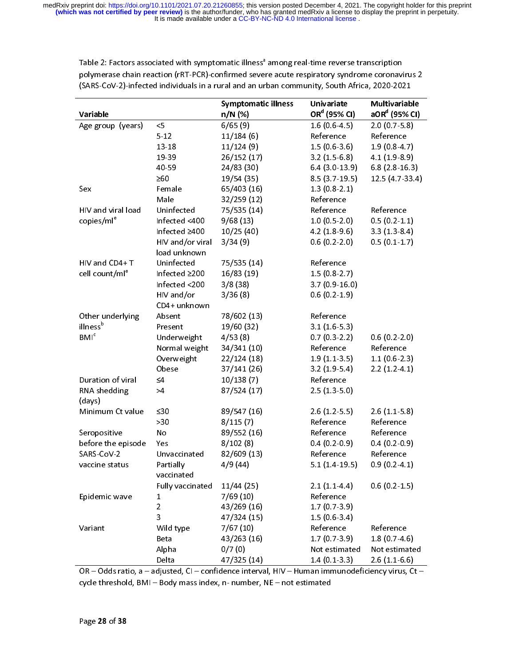| Variable                   |                  | Symptomatic illness<br>n/N (%) | Univariate<br>OR <sup>d</sup> (95% CI) | <b>Multivariable</b><br>$aORd$ (95% CI) |
|----------------------------|------------------|--------------------------------|----------------------------------------|-----------------------------------------|
| Age group (years)          | $\leq$           | 6/65(9)                        | $1.6(0.6-4.5)$                         | $2.0(0.7-5.8)$                          |
|                            | $5 - 12$         | 11/184(6)                      | Reference                              | Reference                               |
|                            | $13 - 18$        | 11/124(9)                      | $1.5(0.6-3.6)$                         | $1.9(0.8-4.7)$                          |
|                            | 19-39            | 26/152 (17)                    | 3.2(1.5.6.8)                           | $4.1(1.9-8.9)$                          |
|                            | 40-59            | 24/83 (30)                     | $6.4(3.0-13.9)$                        | $6.8(2.8-16.3)$                         |
|                            | >60              | 19/54 (35)                     | 8.5(3.7.19.5)                          | 12.5 (4.7-33.4)                         |
| Sex                        | Female           | 65/403 (16)                    | $1.3(0.8-2.1)$                         |                                         |
|                            | Male             | 32/259 (12)                    | Reference                              |                                         |
| HIV and viral load         | Uninfected       | 75/535 (14)                    | Reference                              | Reference                               |
| copies/ml <sup>e</sup>     | Infected <400    | 9/68(13)                       | $1.0(0.5-2.0)$                         | $0.5(0.2 - 1.1)$                        |
|                            | Infected ≥400    | 10/25(40)                      | $4.2(1.8-9.6)$                         | 3.3(1.3.8.4)                            |
|                            | HIV and/or viral | 3/34(9)                        | $0.6(0.2 - 2.0)$                       | $0.5(0.1-1.7)$                          |
|                            | load unknown     |                                |                                        |                                         |
| HIV and CD4+T              | Uninfected       | 75/535 (14)                    | Reference                              |                                         |
| cell count/ml <sup>e</sup> | Infected ≥200    | 16/83 (19)                     | $1.5(0.8-2.7)$                         |                                         |
|                            | Infected <200    | 3/8(38)                        | $3.7(0.9 - 16.0)$                      |                                         |
|                            | HIV and/or       | 3/36(8)                        | $0.6(0.2 - 1.9)$                       |                                         |
|                            | CD4+ unknown     |                                |                                        |                                         |
| Other underlying           | Absent           | 78/602 (13)                    | Reference                              |                                         |
| illness <sup>b</sup>       | Present          | 19/60 (32)                     | $3.1(1.6-5.3)$                         |                                         |
| BM <sup>c</sup>            | Underweight      | 4/53(8)                        | $0.7(0.3-2.2)$                         | $0.6(0.2 - 2.0)$                        |
|                            | Normal weight    | 34/341 (10)                    | Reference                              | Reference                               |
|                            | Overweight       | 22/124(18)                     | $1.9(1.1-3.5)$                         | $1.1(0.6-2.3)$                          |
|                            | Obese            | 37/141 (26)                    | 3.2(1.9.5.4)                           | $2.2(1.2-4.1)$                          |
| Duration of viral          | $\leq 4$         | 10/138(7)                      | Reference                              |                                         |
| RNA shedding               | >4               | 87/524 (17)                    | $2.5(1.3-5.0)$                         |                                         |
| (days)                     |                  |                                |                                        |                                         |
| Minimum Ct value           | ≤30              | 89/547 (16)                    | $2.6(1.2-5.5)$                         | $2.6(1.1-5.8)$                          |
|                            | >30              | 8/115(7)                       | Reference                              | Reference                               |
| Seropositive               | No               | 89/552 (16)                    | Reference                              | Reference                               |
| before the episode         | Yes              | 8/102(8)                       | $0.4(0.2-0.9)$                         | $0.4(0.2-0.9)$                          |
| SARS CoV-2                 | Unvaccinated     | 82/609 (13)                    | Reference                              | Reference                               |
| vaccine status             | Partially        | 4/9(44)                        | 5.1(1.4.19.5)                          | $0.9(0.2 - 4.1)$                        |
|                            | vaccinated       |                                |                                        |                                         |
|                            | Fully vaccinated | $11/44$ (25)                   | $2.1(1.1-4.4)$                         | $0.6(0.2 - 1.5)$                        |
| Epidemic wave              | 1                | 7/69(10)                       | Reference                              |                                         |
|                            | $\overline{2}$   | 43/269 (16)                    | $1.7(0.7-3.9)$                         |                                         |
|                            | 3                | 47/324 (15)                    | $1.5(0.6-3.4)$                         |                                         |
| Variant                    | Wild type        | 7/67(10)                       | Reference                              | Reference                               |
|                            | Beta             | 43/263 (16)                    | $1.7(0.7-3.9)$                         | 1.8(0.7.4.6)                            |
|                            | Alpha            | 0/7(0)                         | Not estimated                          | Not estimated                           |
|                            | Delta            | 47/325 (14)                    | $1.4(0.1-3.3)$                         | $2.6(1.1-6.6)$                          |

Table 2: Factors associated with symptomatic illness" among real-time reverse transcription polymerase chain reaction (rRT-PCR)-confirmed severe acute respiratory syndrome coronavirus 2 (SARS-CoV-2)-infected individuals in a rural and an urban community, South Africa, 2020-2021

OR – Odds ratio, a – adjusted, CI – confidence interval, HIV – Human immunodeficiency virus, Ct – cycle threshold, BMI – Body mass index, n- number, NE – not estimated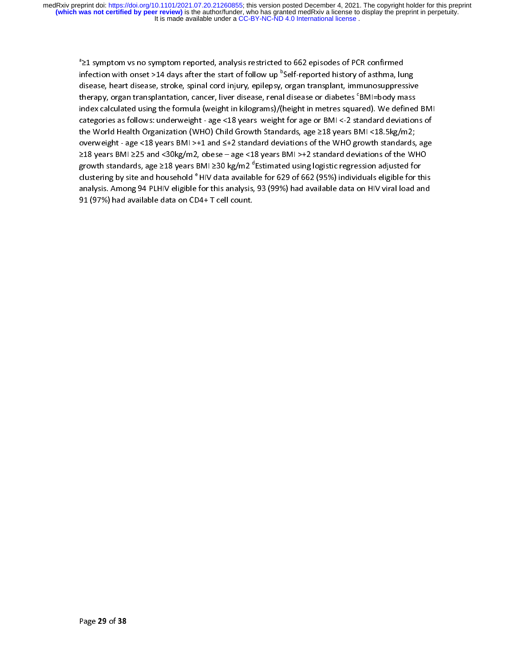ª≥1 symptom vs no symptom reported, analysis restricted to 662 episodes of PCR confirmed infection with onset >14 days after the start of follow up <sup>o</sup>Self-reported history of asthma, lung disease, heart disease, stroke, spinal cord injury, epilepsy, organ transplant, immunosuppressive therapy, organ transplantation, cancer, liver disease, renal disease or diabetes ʿBMI=body mass index calculated using the formula (weight in kilograms)/(height in metres squared). We defined BMI categories as follows: underweight - age <18 years weight for age or BMI <-2 standard deviations of the World Health Organization (WHO) Child Growth Standards, age ≥18 years BMI <18.5kg/m2; overweight - age <18 years BMI >+1 and ≤+2 standard deviations of the WHO growth standards, age ≥18 years BMI ≥25 and <30kg/m2, obese – age <18 years BMI >+2 standard deviations of the WHO growth standards, age ≥18 years BMI ≥30 kg/m2 °Estimated using logistic regression adjusted for clustering by site and household <sup>e</sup> HIV data available for 629 of 662 (95%) individuals eligible for this analysis. Among 94 PLHIV eligible for this analysis, 93 (99%) had available data on HIV viral load and 91 (97%) had available data on CD4+ T cell count.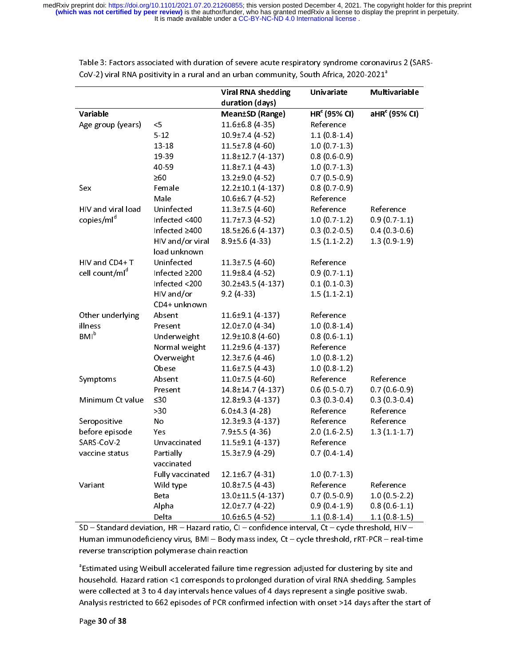|                        |                  | <b>Viral RNA shedding</b> | Univariate               | Multivariable             |
|------------------------|------------------|---------------------------|--------------------------|---------------------------|
|                        |                  | duration (days)           |                          |                           |
| Variable               |                  | <b>Mean±SD (Range)</b>    | HR <sup>c</sup> (95% CI) | aHR <sup>c</sup> (95% CI) |
| Age group (years)      | <5               | $11.6 \pm 6.8$ (4-35)     | Reference                |                           |
|                        | 5.12             | $10.9 + 7.4(4.52)$        | $1.1(0.8-1.4)$           |                           |
|                        | 13 18            | $11.5 \pm 7.8$ (4-60)     | $1.0(0.7-1.3)$           |                           |
|                        | 19 39            | 11.8±12.7 (4-137)         | $0.8(0.6-0.9)$           |                           |
|                        | 40-59            | $11.8 \pm 7.1$ (4-43)     | $1.0(0.7-1.3)$           |                           |
|                        | $\geq 60$        | 13.2±9.0 (4-52)           | 0.7(0.5.0.9)             |                           |
| Sex                    | Female           | 12.2±10.1 (4-137)         | $0.8(0.7-0.9)$           |                           |
|                        | Male             | $10.6 \pm 6.7$ (4-52)     | Reference                |                           |
| HIV and viral load     | Uninfected       | $11.3 \pm 7.5$ (4-60)     | Reference                | Reference                 |
| copies/ml <sup>d</sup> | Infected <400    | $11.7\pm7.3(4.52)$        | $1.0(0.7-1.2)$           | $0.9(0.7-1.1)$            |
|                        | Infected ≥400    | 18.5±26.6 (4-137)         | $0.3(0.2-0.5)$           | $0.4(0.3-0.6)$            |
|                        | HIV and/or viral | $8.9 \pm 5.6$ (4-33)      | $1.5(1.1-2.2)$           | $1.3(0.9-1.9)$            |
|                        | load unknown     |                           |                          |                           |
| HIV and CD4+T          | Uninfected       | $11.3 \pm 7.5$ (4-60)     | Reference                |                           |
| cell count/mld         | Infected ≥200    | $11.9\pm8.4(4.52)$        | $0.9(0.7-1.1)$           |                           |
|                        | Infected <200    | 30.2±43.5 (4-137)         | 0.1(0.1.0.3)             |                           |
|                        | HIV and/or       | $9.2(4-33)$               | $1.5(1.1-2.1)$           |                           |
|                        | CD4+ unknown     |                           |                          |                           |
| Other underlying       | Absent           | 11.6±9.1 (4-137)          | Reference                |                           |
| illness                | Present          | 12.0±7.0 (4-34)           | $1.0(0.8-1.4)$           |                           |
| <b>BMI</b> b           | Underweight      | $12.9 \pm 10.8$ (4-60)    | $0.8(0.6-1.1)$           |                           |
|                        | Normal weight    | $11.2 \pm 9.6$ (4-137)    | Reference                |                           |
|                        | Overweight       | $12.3 \pm 7.6$ (4-46)     | $1.0(0.8-1.2)$           |                           |
|                        | Obese            | $11.6 \pm 7.5$ (4-43)     | $1.0(0.8-1.2)$           |                           |
| Symptoms               | Absent           | $11.0 \pm 7.5$ (4-60)     | Reference                | Reference                 |
|                        | Present          | 14.8±14.7 (4-137)         | $0.6(0.5-0.7)$           | $0.7(0.6-0.9)$            |
| Minimum Ct value       | ≤30              | 12.8±9.3 (4-137)          | $0.3(0.3-0.4)$           | 0.3(0.3.04)               |
|                        | >30              | $6.0 \pm 4.3$ (4-28)      | Reference                | Reference                 |
| Seropositive           | No               | $12.3 \pm 9.3$ (4-137)    | Reference                | Reference                 |
| before episode         | Yes              | $7.9 \pm 5.5$ (4-36)      | $2.0(1.6-2.5)$           | 1.3(1.1.1.7)              |
| SARS-CoV-2             | Unvaccinated     | 11.5±9.1 (4-137)          | Reference                |                           |
| vaccine status         | Partially        | 15.3±7.9 (4-29)           | $0.7(0.4-1.4)$           |                           |
|                        | vaccinated       |                           |                          |                           |
|                        | Fully vaccinated | $12.1 \pm 6.7 (4.31)$     | 1.0(0.7.1.3)             |                           |
| Variant                | Wild type        | $10.8 \pm 7.5(4-43)$      | Reference                | Reference                 |
|                        | Beta             | 13.0±11.5 (4-137)         | $0.7(0.5-0.9)$           | $1.0(0.5-2.2)$            |
|                        | Alpha            | 12.0±7.7 (4-22)           | $0.9(0.4-1.9)$           | $0.8(0.6 - 1.1)$          |
|                        | Delta            | $10.6 \pm 6.5$ (4-52)     | $1.1(0.8-1.4)$           | $1.1(0.8-1.5)$            |

Table 3: Factors associated with duration of severe acute respiratory syndrome coronavirus 2 (SARS-CoV-2) viral RNA positivity in a rural and an urban community, South Africa, 2020-2021<sup>a</sup>

SD – Standard deviation, HR – Hazard ratio, CI – confidence interval, Ct – cycle threshold, HIV – Human immunodeficiency virus, BMI – Body mass index, Ct – cycle threshold, rRT-PCR – real-time reverse transcription polymerase chain reaction

a Estimated using Weibull accelerated failure time regression adjusted for clustering by site and household. Hazard ration <1 corresponds to prolonged duration of viral RNA shedding. Samples were collected at 3 to 4 day intervals hence values of 4 days represent a single positive swab. Analysis restricted to 662 episodes of PCR confirmed infection with onset >14 days after the start of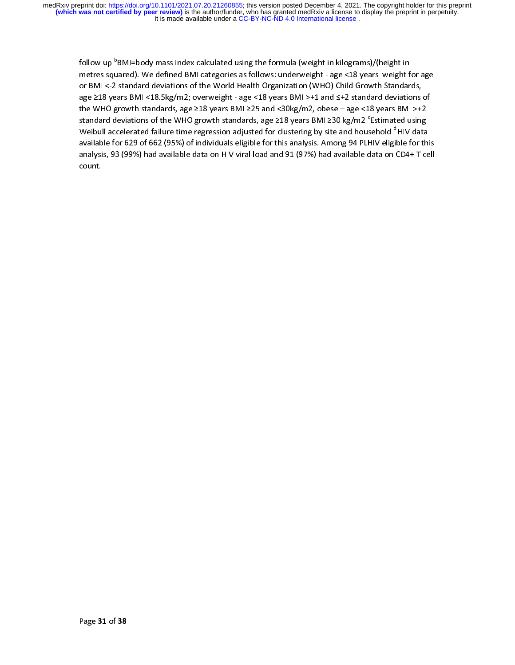follow up <code>°BMI=body</code> mass index calculated using the formula (weight in kilograms)/(height in metres squared). We defined BMI categories as follows: underweight - age <18 years weight for age or BMI <-2 standard deviations of the World Health Organization (WHO) Child Growth Standards, age ≥18 years BMI <18.5kg/m2; overweight - age <18 years BMI >+1 and ≤+2 standard deviations of the WHO growth standards, age ≥18 years BMI ≥25 and <30kg/m2, obese – age <18 years BMI >+2 standard deviations of the WHO growth standards, age ≥18 years BMI ≥30 kg/m2 °Estimated using Weibull accelerated failure time regression adjusted for clustering by site and household <sup>d</sup> HIV data available for 629 of 662 (95%) of individuals eligible for this analysis. Among 94 PLHIV eligible for this analysis, 93 (99%) had available data on HIV viral load and 91 (97%) had available data on CD4+ T cell count.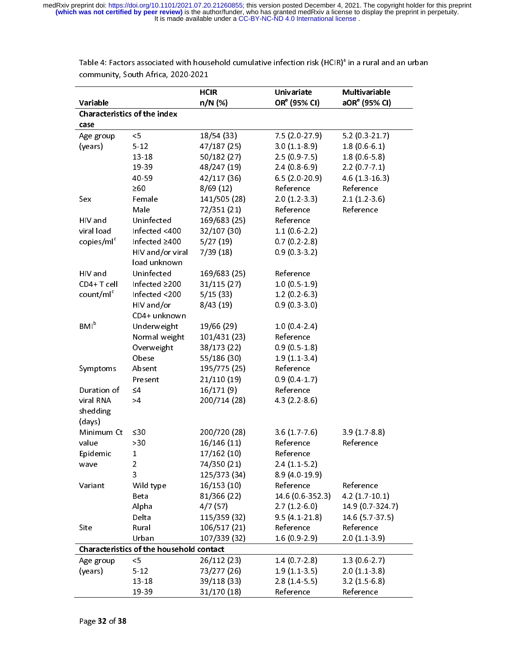|                        |                                                 | <b>HCIR</b>  | Univariate               | Multivariable             |
|------------------------|-------------------------------------------------|--------------|--------------------------|---------------------------|
| Variable               |                                                 | n/N (%)      | OR <sup>e</sup> (95% CI) | aOR <sup>e</sup> (95% CI) |
|                        | <b>Characteristics of the index</b>             |              |                          |                           |
| case                   |                                                 |              |                          |                           |
| Age group              | $<$ 5                                           | 18/54 (33)   | $7.5(2.0-27.9)$          | 5.2(0.3.21.7)             |
| (years)                | $5 - 12$                                        | 47/187 (25)  | $3.0(1.1-8.9)$           | $1.8(0.6-6.1)$            |
|                        | 13-18                                           | 50/182 (27)  | $2.5(0.9 - 7.5)$         | $1.8(0.6-5.8)$            |
|                        | 19 39                                           | 48/247 (19)  | $2.4(0.8-6.9)$           | 2.2(0.7.7.1)              |
|                        | 40-59                                           | 42/117 (36)  | $6.5(2.0-20.9)$          | $4.6(1.3-16.3)$           |
|                        | $\geq 60$                                       | 8/69(12)     | Reference                | Reference                 |
| Sex                    | Female                                          | 141/505 (28) | $2.0(1.2-3.3)$           | $2.1(1.2-3.6)$            |
|                        | Male                                            | 72/351 (21)  | Reference                | Reference                 |
| HIV and                | Uninfected                                      | 169/683 (25) | Reference                |                           |
| viral load             | Infected <400                                   | 32/107 (30)  | $1.1(0.6-2.2)$           |                           |
| copies/ml <sup>c</sup> | Infected ≥400                                   | 5/27(19)     | $0.7(0.2 - 2.8)$         |                           |
|                        | HIV and/or viral                                | 7/39(18)     | $0.9(0.3-3.2)$           |                           |
|                        | load unknown                                    |              |                          |                           |
| HIV and                | Uninfected                                      | 169/683 (25) | Reference                |                           |
| CD4+T cell             | Infected ≥200                                   | 31/115 (27)  | 1.0(0.5.1.9)             |                           |
| count/ml <sup>c</sup>  | Infected <200                                   | 5/15(33)     | $1.2(0.2-6.3)$           |                           |
|                        | HIV and/or                                      | 8/43(19)     | $0.9(0.3-3.0)$           |                           |
|                        | CD4+ unknown                                    |              |                          |                           |
| BM <sup>b</sup>        | Underweight                                     | 19/66 (29)   | $1.0(0.4 - 2.4)$         |                           |
|                        | Normal weight                                   | 101/431 (23) | Reference                |                           |
|                        | Overweight                                      | 38/173 (22)  | $0.9(0.5-1.8)$           |                           |
|                        | Obese                                           | 55/186 (30)  | $1.9(1.1-3.4)$           |                           |
| Symptoms               | Absent                                          | 195/775 (25) | Reference                |                           |
|                        | Present                                         | 21/110 (19)  | $0.9(0.4-1.7)$           |                           |
| Duration of            | $\leq 4$                                        | 16/171(9)    | Reference                |                           |
| viral RNA              | >4                                              | 200/714 (28) | $4.3(2.2-8.6)$           |                           |
| shedding               |                                                 |              |                          |                           |
| (days)                 |                                                 |              |                          |                           |
| Minimum Ct             | ≤30                                             | 200/720 (28) | 3.6(1.7.7.6)             | $3.9(1.7-8.8)$            |
| value                  | >30                                             | 16/146 (11)  | Reference                | Reference                 |
| Epidemic               | 1                                               | 17/162 (10)  | Reference                |                           |
| wave                   | 2                                               | 74/350 (21)  | $2.4(1.1-5.2)$           |                           |
|                        | 3                                               | 125/373 (34) | 8.9 (4.0-19.9)           |                           |
| Variant                | Wild type                                       | 16/153 (10)  | Reference                | Reference                 |
|                        | Beta                                            | 81/366 (22)  | 14.6 (0.6-352.3)         | $4.2(1.7-10.1)$           |
|                        | Alpha                                           | 4/7(57)      | $2.7(1.2-6.0)$           | 14 9 (0.7 324.7)          |
|                        | Delta                                           | 115/359 (32) | 9.5(4.1.21.8)            | 14.6 (5.7-37.5)           |
| Site                   | Rural                                           | 106/517 (21) | Reference                | Reference                 |
|                        | Urban                                           | 107/339 (32) | $1.6(0.9-2.9)$           | $2.0(1.1-3.9)$            |
|                        | <b>Characteristics of the household contact</b> |              |                          |                           |
| Age group              | $<$ 5                                           | 26/112 (23)  | 1.4(0.72.8)              | 1.3(0.627)                |
| (years)                | $5 - 12$                                        | 73/277 (26)  | 1.9(1.1.3.5)             | 2.0(1.1.3.8)              |
|                        | 13-18                                           | 39/118 (33)  | $2.8(1.4-5.5)$           | 3.2(1.5.6.8)              |
|                        | 19-39                                           | 31/170 (18)  | Reference                | Reference                 |

Table 4: Factors associated with household cumulative infection risk (HCIR)<sup>a</sup> in a rural and an urban community, South Africa, 2020-2021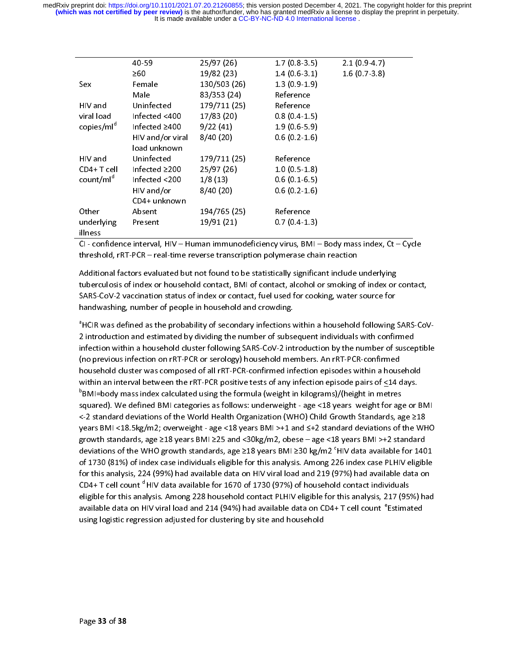|                        | 40 59               | 25/97(26)    | $1.7(0.8-3.5)$   | $2.1(0.9-4.7)$ |
|------------------------|---------------------|--------------|------------------|----------------|
|                        | $\geq 60$           | 19/82 (23)   | $1.4(0.6-3.1)$   | 1.6(0.7.3.8)   |
| Sex                    | Female              | 130/503 (26) | $1.3(0.9-1.9)$   |                |
|                        | Male                | 83/353 (24)  | Reference        |                |
| HIV and                | Uninfected          | 179/711 (25) | Reference        |                |
| viral load             | Infected $<$ 400    | 17/83 (20)   | $0.8(0.4-1.5)$   |                |
| copies/ml <sup>d</sup> | Infected $\geq 400$ | 9/22(41)     | $1.9(0.6-5.9)$   |                |
|                        | HIV and/or viral    | 8/40(20)     | $0.6(0.2 - 1.6)$ |                |
|                        | load unknown        |              |                  |                |
| HIV and                | Uninfected          | 179/711 (25) | Reference        |                |
| $CD4+Teel$             | Infected $\geq$ 200 | 25/97(26)    | $1.0(0.5-1.8)$   |                |
| count/ml <sup>d</sup>  | Infected $<$ 200    | 1/8(13)      | $0.6(0.1-6.5)$   |                |
|                        | HIV and/or          | 8/40(20)     | $0.6(0.2 - 1.6)$ |                |
|                        | CD4+ unknown        |              |                  |                |
| Other                  | Absent              | 194/765 (25) | Reference        |                |
| underlying             | Present             | 19/91(21)    | $0.7(0.4-1.3)$   |                |
| illness                |                     |              |                  |                |

CI - confidence interval, HIV – Human immunodeficiency virus, BMI – Body mass index, Ct – Cycle threshold, rRT-PCR – real-time reverse transcription polymerase chain reaction

Additional factors evaluated but not found to be statistically significant include underlying tuberculosis of index or household contact, BMI of contact, alcohol or smoking of index or contact, SARS-CoV-2 vaccination status of index or contact, fuel used for cooking, water source for handwashing, number of people in household and crowding.

a HCIR was defined as the probability of secondary infections within a household following SARS-CoV-2 introduction and estimated by dividing the number of subsequent individuals with confirmed infection within a household cluster following SARS-CoV-2 introduction by the number of susceptible (no previous infection on rRT-PCR or serology) household members. An rRT-PCR-confirmed household cluster was composed of all rRT-PCR-confirmed infection episodes within a household within an interval between the rRT-PCR positive tests of any infection episode pairs of <14 days.  $\mathrm{^{6}BM}$ I=body mass index calculated using the formula (weight in kilograms)/(height in metres squared). We defined BMI categories as follows: underweight - age <18 years weight for age or BMI <-2 standard deviations of the World Health Organization (WHO) Child Growth Standards, age ≥18 years BMI <18.5kg/m2; overweight - age <18 years BMI >+1 and ≤+2 standard deviations of the WHO growth standards, age ≥18 years BMI ≥25 and <30kg/m2, obese – age <18 years BMI >+2 standard deviations of the WHO growth standards, age ≥18 years BMI ≥30 kg/m2 <code>'HIV</code> data available for 1401 of 1730 (81%) of index case individuals eligible for this analysis. Among 226 index case PLHIV eligible for this analysis, 224 (99%) had available data on HIV viral load and 219 (97%) had available data on CD4+ T cell count  $d$  HIV data available for 1670 of 1730 (97%) of household contact individuals eligible for this analysis. Among 228 household contact PLHIV eligible for this analysis, 217 (95%) had available data on HIV viral load and 214 (94%) had available data on CD4+ T cell count  $e$ Estimated using logistic regression adjusted for clustering by site and household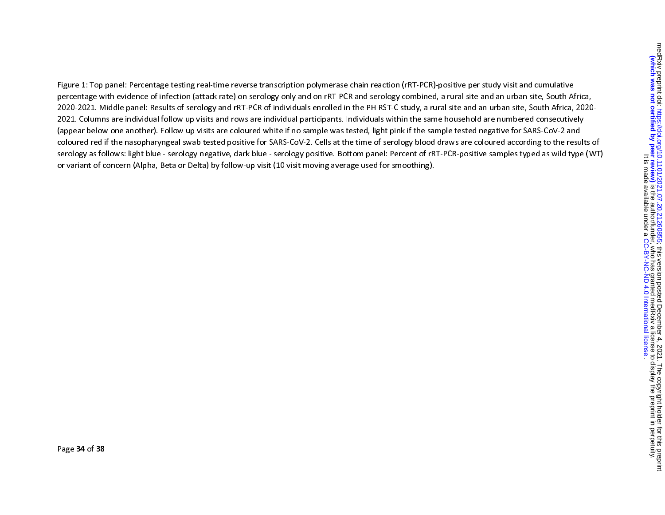Figure 1: Top panel: Percentage testing real-time reverse transcription polymerase chain reaction (rRT-PCR)-positive per study visit and cumulative percentage with evidence of infection (attack rate) on serology only and on rRT-PCR and serology combined, a rural site and an urban site, South Africa, 2020-2021. Middle panel: Results of serology and rRT-PCR of individuals enrolled in the PHIRST-C study, a rural site and an urban site, South Africa, 2020- 2021. Columns are individual follow up visits and rows are individual participants. Individuals within the same household are numbered consecutively (appear below one another). Follow up visits are coloured white if no sample was tested, light pink if the sample tested negative for SARS-CoV-2 and coloured red if the nasopharyngeal swab tested positive for SARS-CoV-2. Cells at the time of serology blood draws are coloured according to the results of serology as follows: light blue - serology negative, dark blue - serology positive. Bottom panel: Percent of rRT-PCR-positive samples typed as wild type (WT) or variant of concern (Alpha, Beta or Delta) by follow-up visit (10 visit moving average used for smoothing).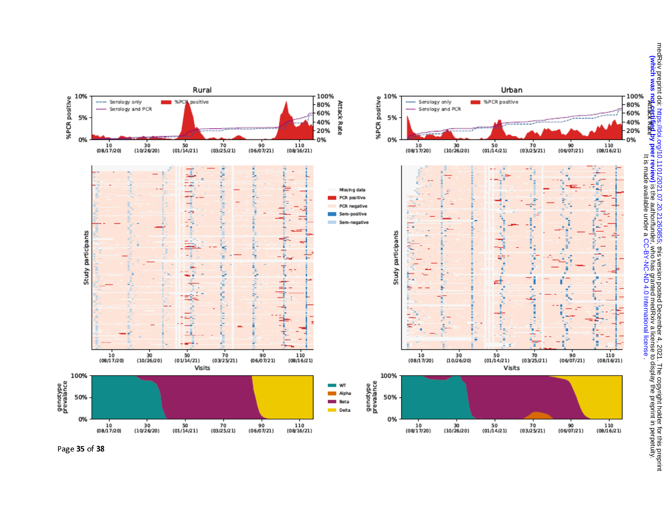

Page 35 of 38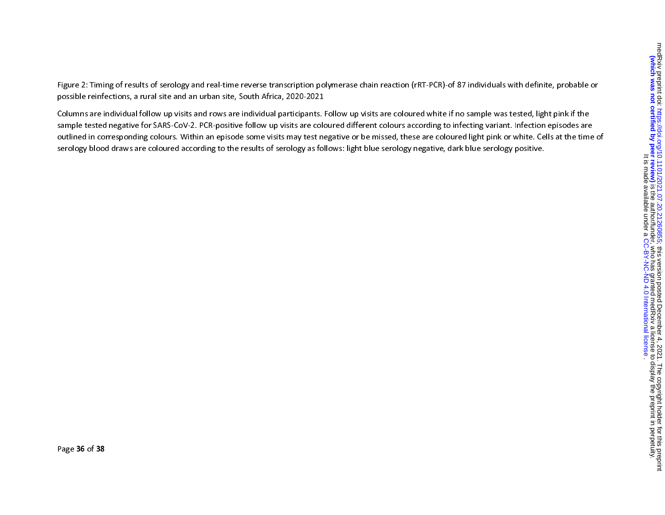Figure 2: Timing of results of serology and real-time reverse transcription polymerase chain reaction (rRT-PCR)-of 87 individuals with definite, probable or possible reinfections, a rural site and an urban site, South Africa, 2020-2021

Columns are individual follow up visits and rows are individual participants. Follow up visits are coloured white if no sample was tested, light pink if the sample tested negative for SARS-CoV-2. PCR-positive follow up visits are coloured different colours according to infecting variant. Infection episodes are outlined in corresponding colours. Within an episode some visits may test negative or be missed, these are coloured light pink or white. Cells at the time of serology blood draws are coloured according to the results of serology as follows: light blue serology negative, dark blue serology positive.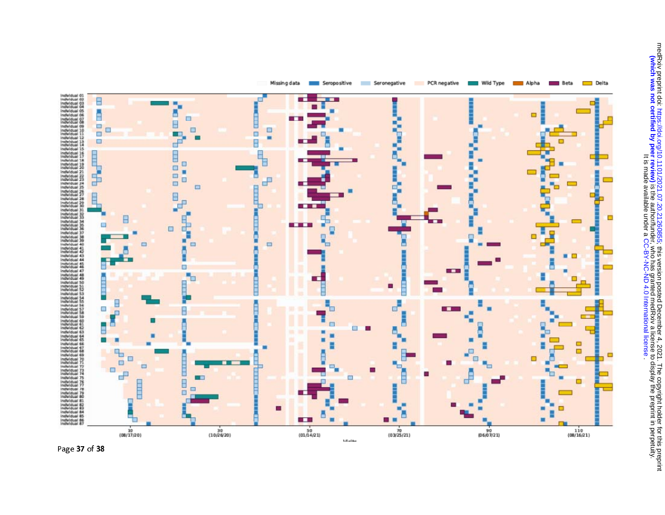



Missing data Seropositive Seronegative PCR negative Wild Type II Alpha Beta  $\Box$  Delta

Page 37 of 38